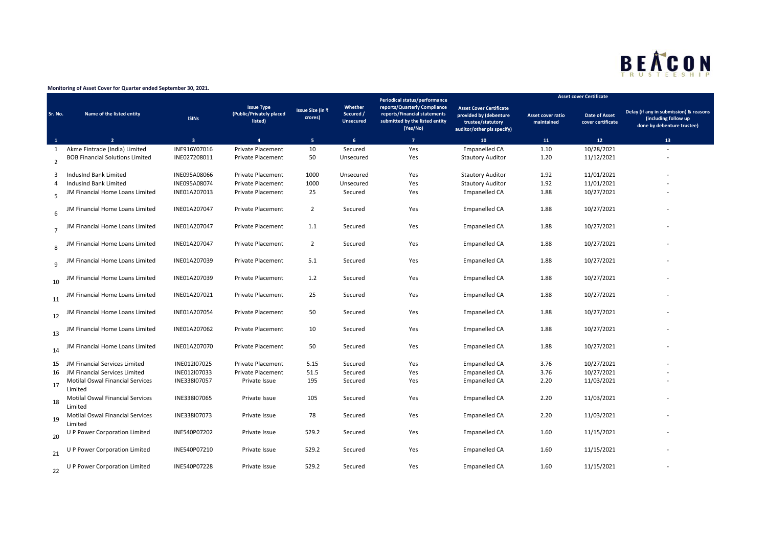## BEACON

## **Monitoring of Asset Cover for Quarter ended September 30, 2021.**

|                |                                                    |                         |                                                          |                             |                                          | Periodical status/performance                                                                              |                                                                                                             |                                        | <b>Asset cover Certificate</b>            |                                                                                              |
|----------------|----------------------------------------------------|-------------------------|----------------------------------------------------------|-----------------------------|------------------------------------------|------------------------------------------------------------------------------------------------------------|-------------------------------------------------------------------------------------------------------------|----------------------------------------|-------------------------------------------|----------------------------------------------------------------------------------------------|
| Sr. No.        | Name of the listed entity                          | <b>ISINs</b>            | <b>Issue Type</b><br>(Public/Privately placed<br>listed) | Issue Size (in ₹<br>crores) | Whether<br>Secured /<br><b>Unsecured</b> | reports/Quarterly Compliance<br>reports/Financial statements<br>submitted by the listed entity<br>(Yes/No) | <b>Asset Cover Certificate</b><br>provided by (debenture<br>trustee/statutory<br>auditor/other pls specify) | <b>Asset cover ratio</b><br>maintained | <b>Date of Asset</b><br>cover certificate | Delay (if any in submission) & reasons<br>(including follow up<br>done by debenture trustee) |
| $\mathbf{1}$   | $\overline{2}$                                     | $\overline{\mathbf{3}}$ | $\mathbf{A}$                                             | 5 <sub>1</sub>              | 6                                        | $\overline{7}$                                                                                             | ${\bf 10}$                                                                                                  | 11                                     | 12                                        | 13 <sup>°</sup>                                                                              |
| 1              | Akme Fintrade (India) Limited                      | INE916Y07016            | Private Placement                                        | 10                          | Secured                                  | Yes                                                                                                        | <b>Empanelled CA</b>                                                                                        | 1.10                                   | 10/28/2021                                |                                                                                              |
| 2              | <b>BOB Financial Solutions Limited</b>             | INE027208011            | Private Placement                                        | 50                          | Unsecured                                | Yes                                                                                                        | <b>Stautory Auditor</b>                                                                                     | 1.20                                   | 11/12/2021                                |                                                                                              |
| 3              | IndusInd Bank Limited                              | INE095A08066            | <b>Private Placement</b>                                 | 1000                        | Unsecured                                | Yes                                                                                                        | <b>Stautory Auditor</b>                                                                                     | 1.92                                   | 11/01/2021                                |                                                                                              |
| 4              | IndusInd Bank Limited                              | INE095A08074            | <b>Private Placement</b>                                 | 1000                        | Unsecured                                | Yes                                                                                                        | <b>Stautory Auditor</b>                                                                                     | 1.92                                   | 11/01/2021                                |                                                                                              |
| 5              | JM Financial Home Loans Limited                    | INE01A207013            | <b>Private Placement</b>                                 | 25                          | Secured                                  | Yes                                                                                                        | Empanelled CA                                                                                               | 1.88                                   | 10/27/2021                                |                                                                                              |
| 6              | JM Financial Home Loans Limited                    | INE01A207047            | <b>Private Placement</b>                                 | $\overline{2}$              | Secured                                  | Yes                                                                                                        | Empanelled CA                                                                                               | 1.88                                   | 10/27/2021                                |                                                                                              |
| $\overline{7}$ | JM Financial Home Loans Limited                    | INE01A207047            | Private Placement                                        | 1.1                         | Secured                                  | Yes                                                                                                        | <b>Empanelled CA</b>                                                                                        | 1.88                                   | 10/27/2021                                |                                                                                              |
| 8              | ∕l Financial Home Loans Limited                    | INE01A207047            | <b>Private Placement</b>                                 | $\overline{2}$              | Secured                                  | Yes                                                                                                        | <b>Empanelled CA</b>                                                                                        | 1.88                                   | 10/27/2021                                |                                                                                              |
| q              | JM Financial Home Loans Limited                    | INE01A207039            | <b>Private Placement</b>                                 | 5.1                         | Secured                                  | Yes                                                                                                        | Empanelled CA                                                                                               | 1.88                                   | 10/27/2021                                |                                                                                              |
| 10             | JM Financial Home Loans Limited                    | INE01A207039            | <b>Private Placement</b>                                 | 1.2                         | Secured                                  | Yes                                                                                                        | Empanelled CA                                                                                               | 1.88                                   | 10/27/2021                                |                                                                                              |
| 11             | JM Financial Home Loans Limited                    | INE01A207021            | Private Placement                                        | 25                          | Secured                                  | Yes                                                                                                        | <b>Empanelled CA</b>                                                                                        | 1.88                                   | 10/27/2021                                |                                                                                              |
| 12             | IM Financial Home Loans Limited                    | INE01A207054            | Private Placement                                        | 50                          | Secured                                  | Yes                                                                                                        | <b>Empanelled CA</b>                                                                                        | 1.88                                   | 10/27/2021                                |                                                                                              |
| 13             | JM Financial Home Loans Limited                    | INE01A207062            | Private Placement                                        | 10                          | Secured                                  | Yes                                                                                                        | <b>Empanelled CA</b>                                                                                        | 1.88                                   | 10/27/2021                                |                                                                                              |
| 14             | JM Financial Home Loans Limited                    | INE01A207070            | <b>Private Placement</b>                                 | 50                          | Secured                                  | Yes                                                                                                        | <b>Empanelled CA</b>                                                                                        | 1.88                                   | 10/27/2021                                |                                                                                              |
| 15             | JM Financial Services Limited                      | INE012I07025            | <b>Private Placement</b>                                 | 5.15                        | Secured                                  | Yes                                                                                                        | Empanelled CA                                                                                               | 3.76                                   | 10/27/2021                                |                                                                                              |
| 16             | JM Financial Services Limited                      | INE012I07033            | Private Placement                                        | 51.5                        | Secured                                  | Yes                                                                                                        | <b>Empanelled CA</b>                                                                                        | 3.76                                   | 10/27/2021                                |                                                                                              |
| 17             | Motilal Oswal Financial Services<br>Limited        | INE338107057            | Private Issue                                            | 195                         | Secured                                  | Yes                                                                                                        | Empanelled CA                                                                                               | 2.20                                   | 11/03/2021                                |                                                                                              |
| 18             | <b>Motilal Oswal Financial Services</b><br>Limited | INE338107065            | Private Issue                                            | 105                         | Secured                                  | Yes                                                                                                        | <b>Empanelled CA</b>                                                                                        | 2.20                                   | 11/03/2021                                |                                                                                              |
| 19             | Motilal Oswal Financial Services<br>Limited        | INE338107073            | Private Issue                                            | 78                          | Secured                                  | Yes                                                                                                        | <b>Empanelled CA</b>                                                                                        | 2.20                                   | 11/03/2021                                |                                                                                              |
| 20             | U P Power Corporation Limited                      | INE540P07202            | Private Issue                                            | 529.2                       | Secured                                  | Yes                                                                                                        | Empanelled CA                                                                                               | 1.60                                   | 11/15/2021                                |                                                                                              |
| 21             | P Power Corporation Limited                        | INE540P07210            | Private Issue                                            | 529.2                       | Secured                                  | Yes                                                                                                        | Empanelled CA                                                                                               | 1.60                                   | 11/15/2021                                |                                                                                              |
| 22             | U P Power Corporation Limited                      | INE540P07228            | Private Issue                                            | 529.2                       | Secured                                  | Yes                                                                                                        | Empanelled CA                                                                                               | 1.60                                   | 11/15/2021                                |                                                                                              |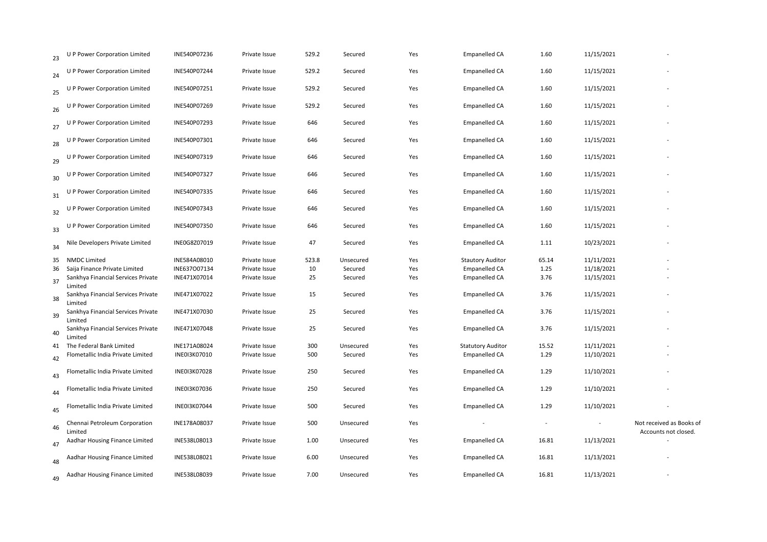| 23 | U P Power Corporation Limited                 | INE540P07236 | Private Issue | 529.2 | Secured   | Yes | <b>Empanelled CA</b>     | 1.60                     | 11/15/2021 |                                                  |
|----|-----------------------------------------------|--------------|---------------|-------|-----------|-----|--------------------------|--------------------------|------------|--------------------------------------------------|
| 24 | U P Power Corporation Limited                 | INE540P07244 | Private Issue | 529.2 | Secured   | Yes | <b>Empanelled CA</b>     | 1.60                     | 11/15/2021 |                                                  |
| 25 | U P Power Corporation Limited                 | INE540P07251 | Private Issue | 529.2 | Secured   | Yes | Empanelled CA            | 1.60                     | 11/15/2021 |                                                  |
| 26 | U P Power Corporation Limited                 | INE540P07269 | Private Issue | 529.2 | Secured   | Yes | <b>Empanelled CA</b>     | 1.60                     | 11/15/2021 |                                                  |
| 27 | U P Power Corporation Limited                 | INE540P07293 | Private Issue | 646   | Secured   | Yes | Empanelled CA            | 1.60                     | 11/15/2021 |                                                  |
| 28 | U P Power Corporation Limited                 | INE540P07301 | Private Issue | 646   | Secured   | Yes | <b>Empanelled CA</b>     | 1.60                     | 11/15/2021 |                                                  |
| 29 | U P Power Corporation Limited                 | INE540P07319 | Private Issue | 646   | Secured   | Yes | <b>Empanelled CA</b>     | 1.60                     | 11/15/2021 |                                                  |
| 30 | U P Power Corporation Limited                 | INE540P07327 | Private Issue | 646   | Secured   | Yes | <b>Empanelled CA</b>     | 1.60                     | 11/15/2021 |                                                  |
| 31 | U P Power Corporation Limited                 | INE540P07335 | Private Issue | 646   | Secured   | Yes | <b>Empanelled CA</b>     | 1.60                     | 11/15/2021 |                                                  |
| 32 | U P Power Corporation Limited                 | INE540P07343 | Private Issue | 646   | Secured   | Yes | <b>Empanelled CA</b>     | 1.60                     | 11/15/2021 |                                                  |
| 33 | U P Power Corporation Limited                 | INE540P07350 | Private Issue | 646   | Secured   | Yes | Empanelled CA            | 1.60                     | 11/15/2021 |                                                  |
| 34 | Nile Developers Private Limited               | INE0G8Z07019 | Private Issue | 47    | Secured   | Yes | Empanelled CA            | 1.11                     | 10/23/2021 |                                                  |
| 35 | <b>NMDC Limited</b>                           | INE584A08010 | Private Issue | 523.8 | Unsecured | Yes | <b>Stautory Auditor</b>  | 65.14                    | 11/11/2021 |                                                  |
| 36 | Saija Finance Private Limited                 | INE637007134 | Private Issue | 10    | Secured   | Yes | <b>Empanelled CA</b>     | 1.25                     | 11/18/2021 |                                                  |
| 37 | Sankhya Financial Services Private<br>Limited | INE471X07014 | Private Issue | 25    | Secured   | Yes | Empanelled CA            | 3.76                     | 11/15/2021 |                                                  |
| 38 | Sankhya Financial Services Private<br>Limited | INE471X07022 | Private Issue | 15    | Secured   | Yes | <b>Empanelled CA</b>     | 3.76                     | 11/15/2021 |                                                  |
| 39 | Sankhya Financial Services Private<br>Limited | INE471X07030 | Private Issue | 25    | Secured   | Yes | <b>Empanelled CA</b>     | 3.76                     | 11/15/2021 |                                                  |
| 40 | Sankhya Financial Services Private<br>Limited | INE471X07048 | Private Issue | 25    | Secured   | Yes | <b>Empanelled CA</b>     | 3.76                     | 11/15/2021 |                                                  |
|    | 41 The Federal Bank Limited                   | INE171A08024 | Private Issue | 300   | Unsecured | Yes | <b>Statutory Auditor</b> | 15.52                    | 11/11/2021 |                                                  |
| 42 | Flometallic India Private Limited             | INE0I3K07010 | Private Issue | 500   | Secured   | Yes | Empanelled CA            | 1.29                     | 11/10/2021 |                                                  |
| 43 | Flometallic India Private Limited             | INE013K07028 | Private Issue | 250   | Secured   | Yes | <b>Empanelled CA</b>     | 1.29                     | 11/10/2021 |                                                  |
| 44 | Flometallic India Private Limited             | INE013K07036 | Private Issue | 250   | Secured   | Yes | <b>Empanelled CA</b>     | 1.29                     | 11/10/2021 |                                                  |
| 45 | Flometallic India Private Limited             | INE0I3K07044 | Private Issue | 500   | Secured   | Yes | <b>Empanelled CA</b>     | 1.29                     | 11/10/2021 |                                                  |
| 46 | Chennai Petroleum Corporation<br>Limited      | INE178A08037 | Private Issue | 500   | Unsecured | Yes |                          | $\overline{\phantom{a}}$ |            | Not received as Books of<br>Accounts not closed. |
| 47 | Aadhar Housing Finance Limited                | INE538L08013 | Private Issue | 1.00  | Unsecured | Yes | Empanelled CA            | 16.81                    | 11/13/2021 |                                                  |
| 48 | Aadhar Housing Finance Limited                | INE538L08021 | Private Issue | 6.00  | Unsecured | Yes | <b>Empanelled CA</b>     | 16.81                    | 11/13/2021 |                                                  |
| 49 | Aadhar Housing Finance Limited                | INE538L08039 | Private Issue | 7.00  | Unsecured | Yes | Empanelled CA            | 16.81                    | 11/13/2021 |                                                  |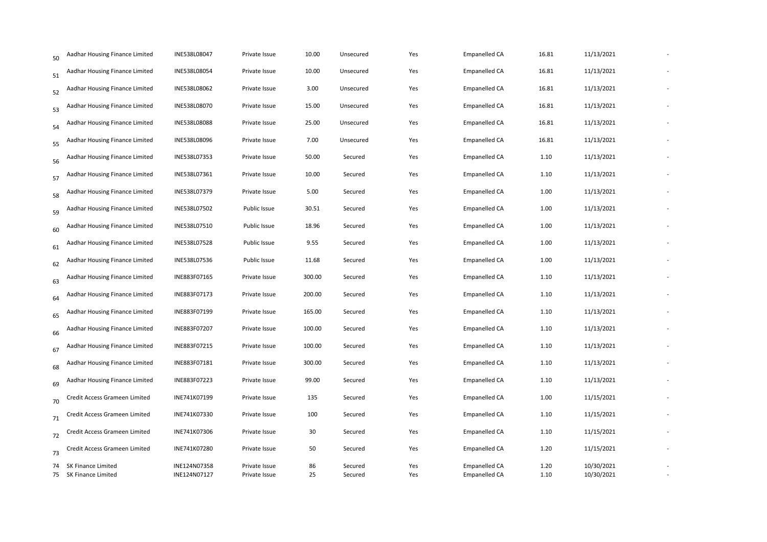| 50 | Aadhar Housing Finance Limited              | INE538L08047                 | Private Issue                  | 10.00    | Unsecured          | Yes        | <b>Empanelled CA</b>                         | 16.81        | 11/13/2021               |  |
|----|---------------------------------------------|------------------------------|--------------------------------|----------|--------------------|------------|----------------------------------------------|--------------|--------------------------|--|
| 51 | Aadhar Housing Finance Limited              | INE538L08054                 | Private Issue                  | 10.00    | Unsecured          | Yes        | <b>Empanelled CA</b>                         | 16.81        | 11/13/2021               |  |
| 52 | Aadhar Housing Finance Limited              | INE538L08062                 | Private Issue                  | 3.00     | Unsecured          | Yes        | <b>Empanelled CA</b>                         | 16.81        | 11/13/2021               |  |
| 53 | Aadhar Housing Finance Limited              | INE538L08070                 | Private Issue                  | 15.00    | Unsecured          | Yes        | Empanelled CA                                | 16.81        | 11/13/2021               |  |
| 54 | Aadhar Housing Finance Limited              | INE538L08088                 | Private Issue                  | 25.00    | Unsecured          | Yes        | <b>Empanelled CA</b>                         | 16.81        | 11/13/2021               |  |
| 55 | Aadhar Housing Finance Limited              | INE538L08096                 | Private Issue                  | 7.00     | Unsecured          | Yes        | <b>Empanelled CA</b>                         | 16.81        | 11/13/2021               |  |
| 56 | Aadhar Housing Finance Limited              | INE538L07353                 | Private Issue                  | 50.00    | Secured            | Yes        | Empanelled CA                                | 1.10         | 11/13/2021               |  |
| 57 | Aadhar Housing Finance Limited              | INE538L07361                 | Private Issue                  | 10.00    | Secured            | Yes        | <b>Empanelled CA</b>                         | 1.10         | 11/13/2021               |  |
| 58 | Aadhar Housing Finance Limited              | INE538L07379                 | Private Issue                  | 5.00     | Secured            | Yes        | <b>Empanelled CA</b>                         | 1.00         | 11/13/2021               |  |
| 59 | Aadhar Housing Finance Limited              | INE538L07502                 | Public Issue                   | 30.51    | Secured            | Yes        | <b>Empanelled CA</b>                         | 1.00         | 11/13/2021               |  |
| 60 | Aadhar Housing Finance Limited              | INE538L07510                 | Public Issue                   | 18.96    | Secured            | Yes        | Empanelled CA                                | 1.00         | 11/13/2021               |  |
| 61 | Aadhar Housing Finance Limited              | INE538L07528                 | Public Issue                   | 9.55     | Secured            | Yes        | <b>Empanelled CA</b>                         | 1.00         | 11/13/2021               |  |
| 62 | Aadhar Housing Finance Limited              | INE538L07536                 | Public Issue                   | 11.68    | Secured            | Yes        | <b>Empanelled CA</b>                         | 1.00         | 11/13/2021               |  |
| 63 | Aadhar Housing Finance Limited              | INE883F07165                 | Private Issue                  | 300.00   | Secured            | Yes        | <b>Empanelled CA</b>                         | 1.10         | 11/13/2021               |  |
| 64 | Aadhar Housing Finance Limited              | INE883F07173                 | Private Issue                  | 200.00   | Secured            | Yes        | <b>Empanelled CA</b>                         | 1.10         | 11/13/2021               |  |
| 65 | Aadhar Housing Finance Limited              | INE883F07199                 | Private Issue                  | 165.00   | Secured            | Yes        | Empanelled CA                                | 1.10         | 11/13/2021               |  |
| 66 | Aadhar Housing Finance Limited              | INE883F07207                 | Private Issue                  | 100.00   | Secured            | Yes        | <b>Empanelled CA</b>                         | 1.10         | 11/13/2021               |  |
| 67 | Aadhar Housing Finance Limited              | INE883F07215                 | Private Issue                  | 100.00   | Secured            | Yes        | <b>Empanelled CA</b>                         | 1.10         | 11/13/2021               |  |
| 68 | Aadhar Housing Finance Limited              | INE883F07181                 | Private Issue                  | 300.00   | Secured            | Yes        | <b>Empanelled CA</b>                         | 1.10         | 11/13/2021               |  |
| 69 | Aadhar Housing Finance Limited              | INE883F07223                 | Private Issue                  | 99.00    | Secured            | Yes        | <b>Empanelled CA</b>                         | 1.10         | 11/13/2021               |  |
| 70 | Credit Access Grameen Limited               | INE741K07199                 | Private Issue                  | 135      | Secured            | Yes        | Empanelled CA                                | 1.00         | 11/15/2021               |  |
| 71 | Credit Access Grameen Limited               | INE741K07330                 | Private Issue                  | 100      | Secured            | Yes        | <b>Empanelled CA</b>                         | 1.10         | 11/15/2021               |  |
| 72 | Credit Access Grameen Limited               | INE741K07306                 | Private Issue                  | 30       | Secured            | Yes        | <b>Empanelled CA</b>                         | 1.10         | 11/15/2021               |  |
| 73 | Credit Access Grameen Limited               | INE741K07280                 | Private Issue                  | 50       | Secured            | Yes        | <b>Empanelled CA</b>                         | 1.20         | 11/15/2021               |  |
| 74 | SK Finance Limited<br>75 SK Finance Limited | INE124N07358<br>INE124N07127 | Private Issue<br>Private Issue | 86<br>25 | Secured<br>Secured | Yes<br>Yes | <b>Empanelled CA</b><br><b>Empanelled CA</b> | 1.20<br>1.10 | 10/30/2021<br>10/30/2021 |  |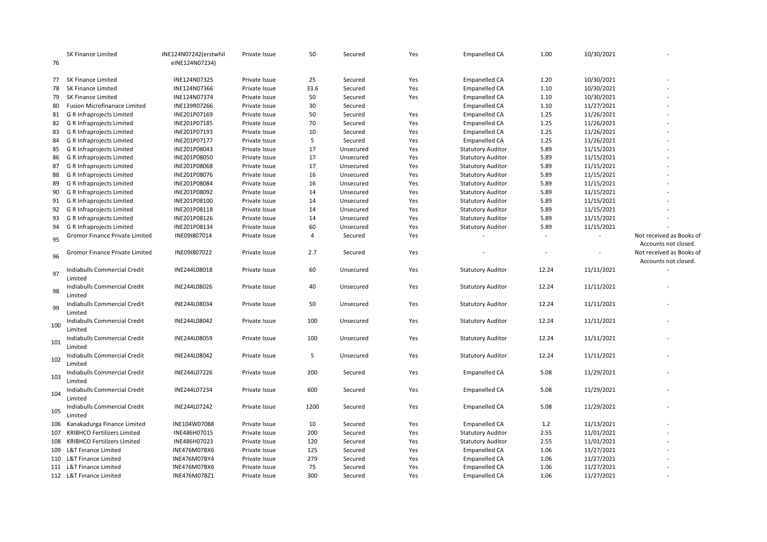| 76  | SK Finance Limited                             | INE124N07242(erstwhil<br>eINE124N07234) | Private Issue | 50             | Secured   | Yes | <b>Empanelled CA</b>     | 1.00   | 10/30/2021 |                          |
|-----|------------------------------------------------|-----------------------------------------|---------------|----------------|-----------|-----|--------------------------|--------|------------|--------------------------|
|     |                                                |                                         |               |                |           |     |                          |        |            |                          |
|     | 77 SK Finance Limited                          | INE124N07325                            | Private Issue | 25             | Secured   | Yes | Empanelled CA            | 1.20   | 10/30/2021 |                          |
| 78  | <b>SK Finance Limited</b>                      | INE124N07366                            | Private Issue | 33.6           | Secured   | Yes | <b>Empanelled CA</b>     | 1.10   | 10/30/2021 |                          |
| 79  | <b>SK Finance Limited</b>                      | INE124N07374                            | Private Issue | 50             | Secured   | Yes | <b>Empanelled CA</b>     | 1.10   | 10/30/2021 |                          |
| 80  | <b>Fusion Microfinanace Limited</b>            | INE139R07266                            | Private Issue | 30             | Secured   |     | Empanelled CA            | 1.10   | 11/27/2021 |                          |
| 81  | G R Infraprojects Limited                      | INE201P07169                            | Private Issue | 50             | Secured   | Yes | Empanelled CA            | 1.25   | 11/26/2021 |                          |
| 82  | G R Infraprojects Limited                      | INE201P07185                            | Private Issue | 70             | Secured   | Yes | <b>Empanelled CA</b>     | 1.25   | 11/26/2021 |                          |
| 83  | G R Infraprojects Limited                      | INE201P07193                            | Private Issue | 10             | Secured   | Yes | Empanelled CA            | 1.25   | 11/26/2021 |                          |
| 84  | G R Infraprojects Limited                      | INE201P07177                            | Private Issue | 5              | Secured   | Yes | Empanelled CA            | 1.25   | 11/26/2021 |                          |
| 85  | G R Infraprojects Limited                      | INE201P08043                            | Private Issue | 17             | Unsecured | Yes | <b>Statutory Auditor</b> | 5.89   | 11/15/2021 |                          |
| 86  | G R Infraprojects Limited                      | INE201P08050                            | Private Issue | 17             | Unsecured | Yes | <b>Statutory Auditor</b> | 5.89   | 11/15/2021 |                          |
| 87  | G R Infraprojects Limited                      | INE201P08068                            | Private Issue | 17             | Unsecured | Yes | <b>Statutory Auditor</b> | 5.89   | 11/15/2021 |                          |
| 88  | G R Infraprojects Limited                      | INE201P08076                            | Private Issue | 16             | Unsecured | Yes | <b>Statutory Auditor</b> | 5.89   | 11/15/2021 |                          |
| 89  | G R Infraprojects Limited                      | INE201P08084                            | Private Issue | 16             | Unsecured | Yes | <b>Statutory Auditor</b> | 5.89   | 11/15/2021 |                          |
| 90  | G R Infraprojects Limited                      | INE201P08092                            | Private Issue | 14             | Unsecured | Yes | <b>Statutory Auditor</b> | 5.89   | 11/15/2021 |                          |
| 91  | G R Infraprojects Limited                      | INE201P08100                            | Private Issue | 14             | Unsecured | Yes | <b>Statutory Auditor</b> | 5.89   | 11/15/2021 |                          |
| 92  | G R Infraprojects Limited                      | INE201P08118                            | Private Issue | 14             | Unsecured | Yes | <b>Statutory Auditor</b> | 5.89   | 11/15/2021 |                          |
| 93  | G R Infraprojects Limited                      | INE201P08126                            | Private Issue | 14             | Unsecured | Yes | <b>Statutory Auditor</b> | 5.89   | 11/15/2021 |                          |
| 94  | G R Infraprojects Limited                      | INE201P08134                            | Private Issue | 60             | Unsecured | Yes | <b>Statutory Auditor</b> | 5.89   | 11/15/2021 |                          |
|     | Gromor Finance Private Limited                 | INE09I807014                            | Private Issue | $\overline{4}$ | Secured   | Yes |                          | $\sim$ |            | Not received as Books of |
| 95  |                                                |                                         |               |                |           |     |                          |        |            | Accounts not closed.     |
|     | Gromor Finance Private Limited                 | INE09I807022                            | Private Issue | 2.7            | Secured   | Yes |                          |        |            | Not received as Books of |
| 96  |                                                |                                         |               |                |           |     |                          |        |            |                          |
|     | Indiabulls Commercial Credit                   | INE244L08018                            | Private Issue | 60             | Unsecured | Yes | <b>Statutory Auditor</b> | 12.24  | 11/11/2021 | Accounts not closed.     |
| 97  | Limited                                        |                                         |               |                |           |     |                          |        |            |                          |
|     |                                                | INE244L08026                            | Private Issue | 40             | Unsecured |     |                          | 12.24  | 11/11/2021 |                          |
| 98  | Indiabulls Commercial Credit                   |                                         |               |                |           | Yes | <b>Statutory Auditor</b> |        |            |                          |
|     | Limited<br><b>Indiabulls Commercial Credit</b> | INE244L08034                            | Private Issue | 50             |           | Yes |                          | 12.24  | 11/11/2021 |                          |
| 99  |                                                |                                         |               |                | Unsecured |     | <b>Statutory Auditor</b> |        |            |                          |
|     | Limited                                        |                                         |               |                |           |     |                          |        |            |                          |
| 100 | Indiabulls Commercial Credit                   | INE244L08042                            | Private Issue | 100            | Unsecured | Yes | <b>Statutory Auditor</b> | 12.24  | 11/11/2021 |                          |
|     | Limited                                        |                                         |               |                |           |     |                          |        |            |                          |
| 101 | Indiabulls Commercial Credit                   | INE244L08059                            | Private Issue | 100            | Unsecured | Yes | <b>Statutory Auditor</b> | 12.24  | 11/11/2021 |                          |
|     | Limited                                        |                                         |               |                |           |     |                          |        |            |                          |
| 102 | Indiabulls Commercial Credit                   | INE244L08042                            | Private Issue | 5              | Unsecured | Yes | <b>Statutory Auditor</b> | 12.24  | 11/11/2021 |                          |
|     | Limited                                        |                                         |               |                |           |     |                          |        |            |                          |
| 103 | Indiabulls Commercial Credit                   | INE244L07226                            | Private Issue | 200            | Secured   | Yes | <b>Empanelled CA</b>     | 5.08   | 11/29/2021 |                          |
|     | Limited                                        |                                         |               |                |           |     |                          |        |            |                          |
| 104 | Indiabulls Commercial Credit                   | INE244L07234                            | Private Issue | 600            | Secured   | Yes | <b>Empanelled CA</b>     | 5.08   | 11/29/2021 |                          |
|     | Limited                                        |                                         |               |                |           |     |                          |        |            |                          |
| 105 | Indiabulls Commercial Credit                   | INE244L07242                            | Private Issue | 1200           | Secured   | Yes | <b>Empanelled CA</b>     | 5.08   | 11/29/2021 |                          |
|     | Limited                                        |                                         |               |                |           |     |                          |        |            |                          |
| 106 | Kanakadurga Finance Limited                    | INE104W07088                            | Private Issue | 10             | Secured   | Yes | Empanelled CA            | 1.2    | 11/13/2021 |                          |
| 107 | <b>KRIBHCO Fertilizers Limited</b>             | INE486H07015                            | Private Issue | 200            | Secured   | Yes | <b>Statutory Auditor</b> | 2.55   | 11/01/2021 |                          |
| 108 | <b>KRIBHCO Fertilizers Limited</b>             | INE486H07023                            | Private Issue | 120            | Secured   | Yes | <b>Statutory Auditor</b> | 2.55   | 11/01/2021 |                          |
|     | 109 L&T Finance Limited                        | INE476M07BX6                            | Private Issue | 125            | Secured   | Yes | <b>Empanelled CA</b>     | 1.06   | 11/27/2021 |                          |
|     | 110 L&T Finance Limited                        | INE476M07BY4                            | Private Issue | 279            | Secured   | Yes | <b>Empanelled CA</b>     | 1.06   | 11/27/2021 |                          |
|     | 111 L&T Finance Limited                        | INE476M07BX6                            | Private Issue | 75             | Secured   | Yes | <b>Empanelled CA</b>     | 1.06   | 11/27/2021 |                          |
|     | 112 L&T Finance Limited                        | INE476M07BZ1                            | Private Issue | 300            | Secured   | Yes | <b>Empanelled CA</b>     | 1.06   | 11/27/2021 |                          |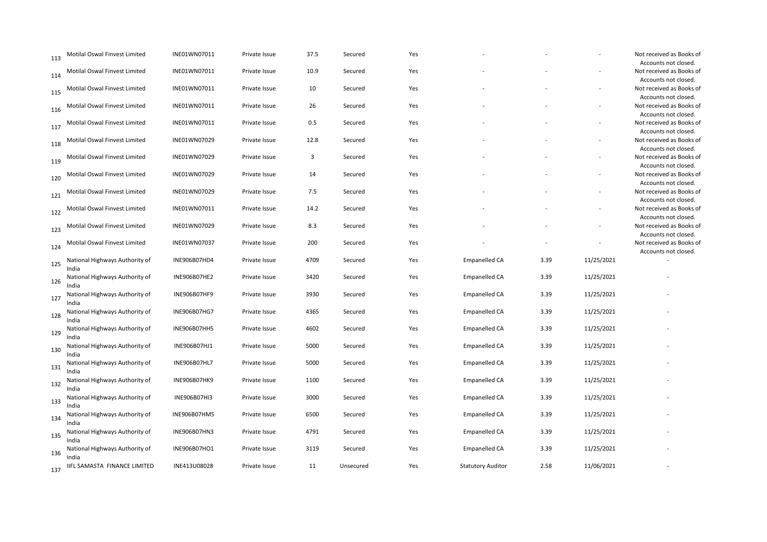| 113 | Motilal Oswal Finvest Limited           | INE01WN07011 | Private Issue | 37.5 | Secured   | Yes |                          |      |            | Not received as Books of<br>Accounts not closed. |
|-----|-----------------------------------------|--------------|---------------|------|-----------|-----|--------------------------|------|------------|--------------------------------------------------|
| 114 | Motilal Oswal Finvest Limited           | INE01WN07011 | Private Issue | 10.9 | Secured   | Yes |                          |      |            | Not received as Books of                         |
| 115 | Motilal Oswal Finvest Limited           | INE01WN07011 | Private Issue | 10   | Secured   | Yes |                          |      |            | Accounts not closed.<br>Not received as Books of |
| 116 | Motilal Oswal Finvest Limited           | INE01WN07011 | Private Issue | 26   | Secured   | Yes |                          |      |            | Accounts not closed.<br>Not received as Books of |
| 117 | Motilal Oswal Finvest Limited           | INE01WN07011 | Private Issue | 0.5  | Secured   | Yes |                          |      |            | Accounts not closed.<br>Not received as Books of |
|     | Motilal Oswal Finvest Limited           | INE01WN07029 | Private Issue | 12.8 | Secured   | Yes |                          |      |            | Accounts not closed.<br>Not received as Books of |
| 118 | Motilal Oswal Finvest Limited           | INE01WN07029 | Private Issue | 3    | Secured   | Yes |                          |      | $\sim$     | Accounts not closed.<br>Not received as Books of |
| 119 |                                         |              |               |      |           |     |                          |      |            | Accounts not closed.                             |
| 120 | Motilal Oswal Finvest Limited           | INE01WN07029 | Private Issue | 14   | Secured   | Yes |                          |      |            | Not received as Books of<br>Accounts not closed. |
| 121 | Motilal Oswal Finvest Limited           | INE01WN07029 | Private Issue | 7.5  | Secured   | Yes |                          |      |            | Not received as Books of<br>Accounts not closed. |
| 122 | Motilal Oswal Finvest Limited           | INE01WN07011 | Private Issue | 14.2 | Secured   | Yes |                          |      |            | Not received as Books of<br>Accounts not closed. |
| 123 | Motilal Oswal Finvest Limited           | INE01WN07029 | Private Issue | 8.3  | Secured   | Yes |                          |      |            | Not received as Books of                         |
| 124 | Motilal Oswal Finvest Limited           | INE01WN07037 | Private Issue | 200  | Secured   | Yes |                          |      |            | Accounts not closed.<br>Not received as Books of |
| 125 | National Highways Authority of          | INE906B07HD4 | Private Issue | 4709 | Secured   | Yes | Empanelled CA            | 3.39 | 11/25/2021 | Accounts not closed.                             |
| 126 | India<br>National Highways Authority of | INE906B07HE2 | Private Issue | 3420 | Secured   | Yes | <b>Empanelled CA</b>     | 3.39 | 11/25/2021 |                                                  |
| 127 | India<br>National Highways Authority of | INE906B07HF9 | Private Issue | 3930 | Secured   | Yes | <b>Empanelled CA</b>     | 3.39 | 11/25/2021 |                                                  |
| 128 | India<br>National Highways Authority of | INE906B07HG7 | Private Issue | 4365 | Secured   | Yes | Empanelled CA            | 3.39 | 11/25/2021 |                                                  |
| 129 | India<br>National Highways Authority of | INE906B07HH5 | Private Issue | 4602 | Secured   | Yes | Empanelled CA            | 3.39 | 11/25/2021 |                                                  |
|     | India<br>National Highways Authority of | INE906B07HJ1 | Private Issue | 5000 | Secured   | Yes | <b>Empanelled CA</b>     | 3.39 | 11/25/2021 |                                                  |
| 130 | India<br>National Highways Authority of | INE906B07HL7 | Private Issue | 5000 | Secured   | Yes | <b>Empanelled CA</b>     | 3.39 | 11/25/2021 |                                                  |
| 131 | India                                   |              |               |      |           |     |                          |      |            |                                                  |
| 132 | National Highways Authority of<br>India | INE906B07HK9 | Private Issue | 1100 | Secured   | Yes | Empanelled CA            | 3.39 | 11/25/2021 |                                                  |
| 133 | National Highways Authority of<br>India | INE906B07HI3 | Private Issue | 3000 | Secured   | Yes | Empanelled CA            | 3.39 | 11/25/2021 |                                                  |
| 134 | National Highways Authority of<br>India | INE906B07HM5 | Private Issue | 6500 | Secured   | Yes | <b>Empanelled CA</b>     | 3.39 | 11/25/2021 |                                                  |
| 135 | National Highways Authority of<br>India | INE906B07HN3 | Private Issue | 4791 | Secured   | Yes | <b>Empanelled CA</b>     | 3.39 | 11/25/2021 |                                                  |
| 136 | National Highways Authority of          | INE906B07HO1 | Private Issue | 3119 | Secured   | Yes | <b>Empanelled CA</b>     | 3.39 | 11/25/2021 |                                                  |
| 137 | India<br>IIFL SAMASTA FINANCE LIMITED   | INE413U08028 | Private Issue | 11   | Unsecured | Yes | <b>Statutory Auditor</b> | 2.58 | 11/06/2021 |                                                  |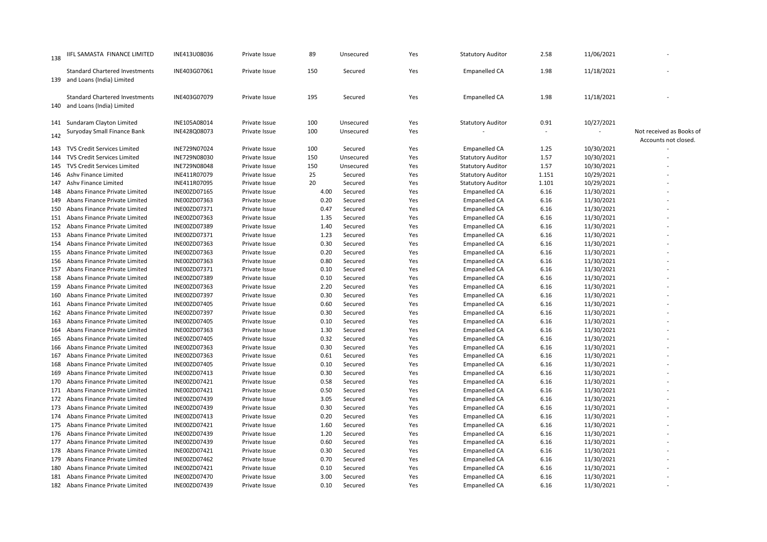| 138 | IIFL SAMASTA FINANCE LIMITED                                           | INE413U08036 | Private Issue | 89   | Unsecured | Yes | <b>Statutory Auditor</b> | 2.58                     | 11/06/2021 |                                                  |
|-----|------------------------------------------------------------------------|--------------|---------------|------|-----------|-----|--------------------------|--------------------------|------------|--------------------------------------------------|
|     | <b>Standard Chartered Investments</b><br>139 and Loans (India) Limited | INE403G07061 | Private Issue | 150  | Secured   | Yes | <b>Empanelled CA</b>     | 1.98                     | 11/18/2021 |                                                  |
|     | <b>Standard Chartered Investments</b><br>140 and Loans (India) Limited | INE403G07079 | Private Issue | 195  | Secured   | Yes | <b>Empanelled CA</b>     | 1.98                     | 11/18/2021 |                                                  |
|     | 141 Sundaram Clayton Limited                                           | INE105A08014 | Private Issue | 100  | Unsecured | Yes | <b>Statutory Auditor</b> | 0.91                     | 10/27/2021 |                                                  |
| 142 | Suryoday Small Finance Bank                                            | INE428Q08073 | Private Issue | 100  | Unsecured | Yes |                          | $\overline{\phantom{a}}$ |            | Not received as Books of<br>Accounts not closed. |
| 143 | <b>TVS Credit Services Limited</b>                                     | INE729N07024 | Private Issue | 100  | Secured   | Yes | Empanelled CA            | 1.25                     | 10/30/2021 |                                                  |
| 144 | <b>TVS Credit Services Limited</b>                                     | INE729N08030 | Private Issue | 150  | Unsecured | Yes | <b>Statutory Auditor</b> | 1.57                     | 10/30/2021 |                                                  |
| 145 | TVS Credit Services Limited                                            | INE729N08048 | Private Issue | 150  | Unsecured | Yes | <b>Statutory Auditor</b> | 1.57                     | 10/30/2021 |                                                  |
|     | 146 Ashv Finance Limited                                               | INE411R07079 | Private Issue | 25   | Secured   | Yes | <b>Statutory Auditor</b> | 1.151                    | 10/29/2021 |                                                  |
|     | 147 Ashv Finance Limited                                               | INE411R07095 | Private Issue | 20   | Secured   | Yes | <b>Statutory Auditor</b> | 1.101                    | 10/29/2021 |                                                  |
|     | 148 Abans Finance Private Limited                                      | INE00ZD07165 | Private Issue | 4.00 | Secured   | Yes | <b>Empanelled CA</b>     | 6.16                     | 11/30/2021 |                                                  |
| 149 | Abans Finance Private Limited                                          | INE00ZD07363 | Private Issue | 0.20 | Secured   | Yes | <b>Empanelled CA</b>     | 6.16                     | 11/30/2021 |                                                  |
| 150 | Abans Finance Private Limited                                          | INE00ZD07371 | Private Issue | 0.47 | Secured   | Yes | <b>Empanelled CA</b>     | 6.16                     | 11/30/2021 |                                                  |
|     | 151 Abans Finance Private Limited                                      | INE00ZD07363 | Private Issue | 1.35 | Secured   | Yes | <b>Empanelled CA</b>     | 6.16                     | 11/30/2021 |                                                  |
|     | 152 Abans Finance Private Limited                                      | INE00ZD07389 | Private Issue | 1.40 | Secured   | Yes | <b>Empanelled CA</b>     | 6.16                     | 11/30/2021 |                                                  |
|     | 153 Abans Finance Private Limited                                      | INE00ZD07371 | Private Issue | 1.23 | Secured   | Yes | <b>Empanelled CA</b>     | 6.16                     | 11/30/2021 |                                                  |
| 154 | Abans Finance Private Limited                                          | INE00ZD07363 | Private Issue | 0.30 | Secured   | Yes | <b>Empanelled CA</b>     | 6.16                     | 11/30/2021 |                                                  |
|     | 155 Abans Finance Private Limited                                      | INE00ZD07363 | Private Issue | 0.20 | Secured   | Yes | <b>Empanelled CA</b>     | 6.16                     | 11/30/2021 |                                                  |
| 156 | Abans Finance Private Limited                                          | INE00ZD07363 | Private Issue | 0.80 | Secured   | Yes | <b>Empanelled CA</b>     | 6.16                     | 11/30/2021 |                                                  |
|     | 157 Abans Finance Private Limited                                      | INE00ZD07371 | Private Issue | 0.10 | Secured   | Yes | <b>Empanelled CA</b>     | 6.16                     | 11/30/2021 |                                                  |
| 158 | Abans Finance Private Limited                                          | INE00ZD07389 | Private Issue | 0.10 | Secured   | Yes | <b>Empanelled CA</b>     | 6.16                     | 11/30/2021 |                                                  |
| 159 | Abans Finance Private Limited                                          | INE00ZD07363 | Private Issue | 2.20 | Secured   | Yes | <b>Empanelled CA</b>     | 6.16                     | 11/30/2021 |                                                  |
| 160 | Abans Finance Private Limited                                          | INE00ZD07397 | Private Issue | 0.30 | Secured   | Yes | <b>Empanelled CA</b>     | 6.16                     | 11/30/2021 |                                                  |
|     | 161 Abans Finance Private Limited                                      | INE00ZD07405 | Private Issue | 0.60 | Secured   | Yes | <b>Empanelled CA</b>     | 6.16                     | 11/30/2021 |                                                  |
|     | 162 Abans Finance Private Limited                                      | INE00ZD07397 | Private Issue | 0.30 | Secured   | Yes | <b>Empanelled CA</b>     | 6.16                     | 11/30/2021 |                                                  |
|     | 163 Abans Finance Private Limited                                      | INE00ZD07405 | Private Issue | 0.10 | Secured   | Yes | <b>Empanelled CA</b>     | 6.16                     | 11/30/2021 |                                                  |
|     | 164 Abans Finance Private Limited                                      | INE00ZD07363 | Private Issue | 1.30 | Secured   | Yes | <b>Empanelled CA</b>     | 6.16                     | 11/30/2021 |                                                  |
| 165 | Abans Finance Private Limited                                          | INE00ZD07405 | Private Issue | 0.32 | Secured   | Yes | <b>Empanelled CA</b>     | 6.16                     | 11/30/2021 |                                                  |
| 166 | Abans Finance Private Limited                                          | INE00ZD07363 | Private Issue | 0.30 | Secured   | Yes | <b>Empanelled CA</b>     | 6.16                     | 11/30/2021 |                                                  |
| 167 | Abans Finance Private Limited                                          | INE00ZD07363 | Private Issue | 0.61 | Secured   | Yes | <b>Empanelled CA</b>     | 6.16                     | 11/30/2021 |                                                  |
| 168 | Abans Finance Private Limited                                          | INE00ZD07405 | Private Issue | 0.10 | Secured   | Yes | <b>Empanelled CA</b>     | 6.16                     | 11/30/2021 |                                                  |
| 169 | Abans Finance Private Limited                                          | INE00ZD07413 | Private Issue | 0.30 | Secured   | Yes | <b>Empanelled CA</b>     | 6.16                     | 11/30/2021 |                                                  |
|     | 170 Abans Finance Private Limited                                      | INE00ZD07421 | Private Issue | 0.58 | Secured   | Yes | <b>Empanelled CA</b>     | 6.16                     | 11/30/2021 |                                                  |
| 171 | Abans Finance Private Limited                                          | INE00ZD07421 | Private Issue | 0.50 | Secured   | Yes | <b>Empanelled CA</b>     | 6.16                     | 11/30/2021 |                                                  |
|     | 172 Abans Finance Private Limited                                      | INE00ZD07439 | Private Issue | 3.05 | Secured   | Yes | <b>Empanelled CA</b>     | 6.16                     | 11/30/2021 |                                                  |
| 173 | Abans Finance Private Limited                                          | INE00ZD07439 | Private Issue | 0.30 | Secured   | Yes | <b>Empanelled CA</b>     | 6.16                     | 11/30/2021 |                                                  |
|     | 174 Abans Finance Private Limited                                      | INE00ZD07413 | Private Issue | 0.20 | Secured   | Yes | <b>Empanelled CA</b>     | 6.16                     | 11/30/2021 |                                                  |
| 175 | Abans Finance Private Limited                                          | INE00ZD07421 | Private Issue | 1.60 | Secured   | Yes | <b>Empanelled CA</b>     | 6.16                     | 11/30/2021 |                                                  |
|     | 176 Abans Finance Private Limited                                      | INE00ZD07439 | Private Issue | 1.20 | Secured   | Yes | <b>Empanelled CA</b>     | 6.16                     | 11/30/2021 |                                                  |
|     | 177 Abans Finance Private Limited                                      | INE00ZD07439 | Private Issue | 0.60 | Secured   | Yes | <b>Empanelled CA</b>     | 6.16                     | 11/30/2021 |                                                  |
|     | 178 Abans Finance Private Limited                                      | INE00ZD07421 | Private Issue | 0.30 | Secured   | Yes | <b>Empanelled CA</b>     | 6.16                     | 11/30/2021 |                                                  |
| 179 | Abans Finance Private Limited                                          | INE00ZD07462 | Private Issue | 0.70 | Secured   | Yes | <b>Empanelled CA</b>     | 6.16                     | 11/30/2021 |                                                  |
| 180 | Abans Finance Private Limited                                          | INE00ZD07421 | Private Issue | 0.10 | Secured   | Yes | <b>Empanelled CA</b>     | 6.16                     | 11/30/2021 |                                                  |
|     | 181 Abans Finance Private Limited                                      | INE00ZD07470 | Private Issue | 3.00 | Secured   | Yes | <b>Empanelled CA</b>     | 6.16                     | 11/30/2021 |                                                  |
|     | 182 Abans Finance Private Limited                                      | INE00ZD07439 | Private Issue | 0.10 | Secured   | Yes | <b>Empanelled CA</b>     | 6.16                     | 11/30/2021 |                                                  |
|     |                                                                        |              |               |      |           |     |                          |                          |            |                                                  |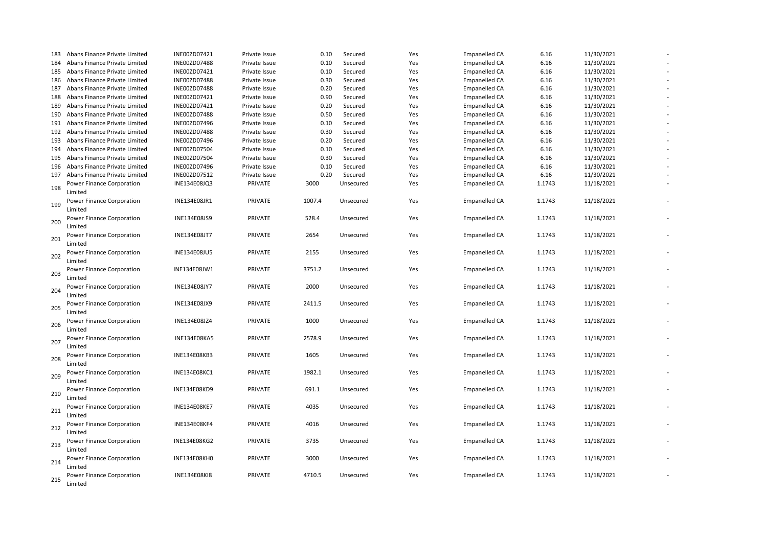| 183 | Abans Finance Private Limited        | INE00ZD07421        | Private Issue | 0.10   | Secured   | Yes | <b>Empanelled CA</b> | 6.16   | 11/30/2021 |  |
|-----|--------------------------------------|---------------------|---------------|--------|-----------|-----|----------------------|--------|------------|--|
| 184 | Abans Finance Private Limited        | INE00ZD07488        | Private Issue | 0.10   | Secured   | Yes | <b>Empanelled CA</b> | 6.16   | 11/30/2021 |  |
| 185 | Abans Finance Private Limited        | INE00ZD07421        | Private Issue | 0.10   | Secured   | Yes | <b>Empanelled CA</b> | 6.16   | 11/30/2021 |  |
| 186 | Abans Finance Private Limited        | INE00ZD07488        | Private Issue | 0.30   | Secured   | Yes | <b>Empanelled CA</b> | 6.16   | 11/30/2021 |  |
| 187 | Abans Finance Private Limited        | INE00ZD07488        | Private Issue | 0.20   | Secured   | Yes | <b>Empanelled CA</b> | 6.16   | 11/30/2021 |  |
| 188 | Abans Finance Private Limited        | INE00ZD07421        | Private Issue | 0.90   | Secured   | Yes | <b>Empanelled CA</b> | 6.16   | 11/30/2021 |  |
| 189 | Abans Finance Private Limited        | INE00ZD07421        | Private Issue | 0.20   | Secured   | Yes | <b>Empanelled CA</b> | 6.16   | 11/30/2021 |  |
| 190 | Abans Finance Private Limited        | INE00ZD07488        | Private Issue | 0.50   | Secured   | Yes | <b>Empanelled CA</b> | 6.16   | 11/30/2021 |  |
| 191 | Abans Finance Private Limited        | INE00ZD07496        | Private Issue | 0.10   | Secured   | Yes | <b>Empanelled CA</b> | 6.16   | 11/30/2021 |  |
| 192 | Abans Finance Private Limited        | INE00ZD07488        | Private Issue | 0.30   | Secured   | Yes | <b>Empanelled CA</b> | 6.16   | 11/30/2021 |  |
| 193 | Abans Finance Private Limited        | INE00ZD07496        | Private Issue | 0.20   | Secured   | Yes | <b>Empanelled CA</b> | 6.16   | 11/30/2021 |  |
|     | 194 Abans Finance Private Limited    | INE00ZD07504        | Private Issue | 0.10   | Secured   | Yes | <b>Empanelled CA</b> | 6.16   | 11/30/2021 |  |
| 195 | Abans Finance Private Limited        | INE00ZD07504        | Private Issue | 0.30   | Secured   | Yes | <b>Empanelled CA</b> | 6.16   | 11/30/2021 |  |
| 196 | Abans Finance Private Limited        | INE00ZD07496        | Private Issue | 0.10   | Secured   | Yes | <b>Empanelled CA</b> | 6.16   | 11/30/2021 |  |
| 197 | Abans Finance Private Limited        | INE00ZD07512        | Private Issue | 0.20   | Secured   | Yes | <b>Empanelled CA</b> | 6.16   | 11/30/2021 |  |
|     | Power Finance Corporation            | INE134E08JQ3        | PRIVATE       | 3000   | Unsecured | Yes | <b>Empanelled CA</b> | 1.1743 | 11/18/2021 |  |
| 198 | Limited                              |                     |               |        |           |     |                      |        |            |  |
| 199 | Power Finance Corporation<br>Limited | INE134E08JR1        | PRIVATE       | 1007.4 | Unsecured | Yes | <b>Empanelled CA</b> | 1.1743 | 11/18/2021 |  |
| 200 | Power Finance Corporation<br>Limited | INE134E08JS9        | PRIVATE       | 528.4  | Unsecured | Yes | <b>Empanelled CA</b> | 1.1743 | 11/18/2021 |  |
| 201 | Power Finance Corporation<br>Limited | INE134E08JT7        | PRIVATE       | 2654   | Unsecured | Yes | <b>Empanelled CA</b> | 1.1743 | 11/18/2021 |  |
| 202 | Power Finance Corporation<br>Limited | INE134E08JU5        | PRIVATE       | 2155   | Unsecured | Yes | <b>Empanelled CA</b> | 1.1743 | 11/18/2021 |  |
| 203 | Power Finance Corporation<br>Limited | INE134E08JW1        | PRIVATE       | 3751.2 | Unsecured | Yes | <b>Empanelled CA</b> | 1.1743 | 11/18/2021 |  |
| 204 | Power Finance Corporation<br>Limited | INE134E08JY7        | PRIVATE       | 2000   | Unsecured | Yes | <b>Empanelled CA</b> | 1.1743 | 11/18/2021 |  |
| 205 | Power Finance Corporation<br>Limited | INE134E08JX9        | PRIVATE       | 2411.5 | Unsecured | Yes | <b>Empanelled CA</b> | 1.1743 | 11/18/2021 |  |
| 206 | Power Finance Corporation<br>Limited | INE134E08JZ4        | PRIVATE       | 1000   | Unsecured | Yes | <b>Empanelled CA</b> | 1.1743 | 11/18/2021 |  |
| 207 | Power Finance Corporation<br>Limited | INE134E08KA5        | PRIVATE       | 2578.9 | Unsecured | Yes | <b>Empanelled CA</b> | 1.1743 | 11/18/2021 |  |
| 208 | Power Finance Corporation<br>Limited | INE134E08KB3        | PRIVATE       | 1605   | Unsecured | Yes | <b>Empanelled CA</b> | 1.1743 | 11/18/2021 |  |
| 209 | Power Finance Corporation<br>Limited | <b>INE134E08KC1</b> | PRIVATE       | 1982.1 | Unsecured | Yes | <b>Empanelled CA</b> | 1.1743 | 11/18/2021 |  |
| 210 | Power Finance Corporation<br>Limited | INE134E08KD9        | PRIVATE       | 691.1  | Unsecured | Yes | <b>Empanelled CA</b> | 1.1743 | 11/18/2021 |  |
| 211 | Power Finance Corporation<br>Limited | <b>INE134E08KE7</b> | PRIVATE       | 4035   | Unsecured | Yes | <b>Empanelled CA</b> | 1.1743 | 11/18/2021 |  |
| 212 | Power Finance Corporation<br>Limited | <b>INE134E08KF4</b> | PRIVATE       | 4016   | Unsecured | Yes | <b>Empanelled CA</b> | 1.1743 | 11/18/2021 |  |
| 213 | Power Finance Corporation<br>Limited | INE134E08KG2        | PRIVATE       | 3735   | Unsecured | Yes | <b>Empanelled CA</b> | 1.1743 | 11/18/2021 |  |
| 214 | Power Finance Corporation<br>Limited | INE134E08KH0        | PRIVATE       | 3000   | Unsecured | Yes | <b>Empanelled CA</b> | 1.1743 | 11/18/2021 |  |
| 215 | Power Finance Corporation<br>Limited | <b>INE134E08KI8</b> | PRIVATE       | 4710.5 | Unsecured | Yes | <b>Empanelled CA</b> | 1.1743 | 11/18/2021 |  |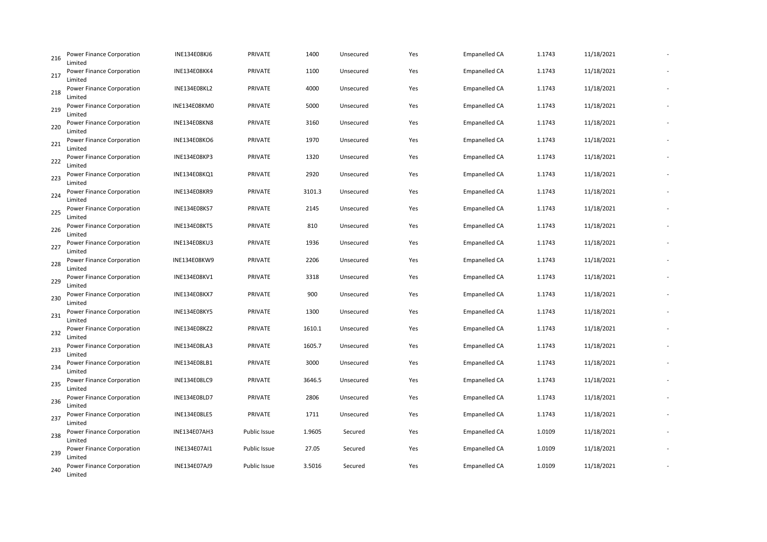| 216 | <b>Power Finance Corporation</b><br>Limited | INE134E08KJ6        | PRIVATE      | 1400   | Unsecured | Yes | <b>Empanelled CA</b> | 1.1743 | 11/18/2021 |  |
|-----|---------------------------------------------|---------------------|--------------|--------|-----------|-----|----------------------|--------|------------|--|
| 217 | <b>Power Finance Corporation</b><br>Limited | <b>INE134E08KK4</b> | PRIVATE      | 1100   | Unsecured | Yes | <b>Empanelled CA</b> | 1.1743 | 11/18/2021 |  |
| 218 | Power Finance Corporation<br>Limited        | <b>INE134E08KL2</b> | PRIVATE      | 4000   | Unsecured | Yes | <b>Empanelled CA</b> | 1.1743 | 11/18/2021 |  |
| 219 | <b>Power Finance Corporation</b><br>Limited | <b>INE134E08KM0</b> | PRIVATE      | 5000   | Unsecured | Yes | <b>Empanelled CA</b> | 1.1743 | 11/18/2021 |  |
| 220 | Power Finance Corporation<br>Limited        | <b>INE134E08KN8</b> | PRIVATE      | 3160   | Unsecured | Yes | Empanelled CA        | 1.1743 | 11/18/2021 |  |
| 221 | <b>Power Finance Corporation</b><br>Limited | <b>INE134E08KO6</b> | PRIVATE      | 1970   | Unsecured | Yes | <b>Empanelled CA</b> | 1.1743 | 11/18/2021 |  |
| 222 | <b>Power Finance Corporation</b><br>Limited | INE134E08KP3        | PRIVATE      | 1320   | Unsecured | Yes | <b>Empanelled CA</b> | 1.1743 | 11/18/2021 |  |
| 223 | Power Finance Corporation<br>Limited        | INE134E08KQ1        | PRIVATE      | 2920   | Unsecured | Yes | <b>Empanelled CA</b> | 1.1743 | 11/18/2021 |  |
| 224 | Power Finance Corporation<br>Limited        | INE134E08KR9        | PRIVATE      | 3101.3 | Unsecured | Yes | <b>Empanelled CA</b> | 1.1743 | 11/18/2021 |  |
| 225 | Power Finance Corporation<br>Limited        | INE134E08KS7        | PRIVATE      | 2145   | Unsecured | Yes | <b>Empanelled CA</b> | 1.1743 | 11/18/2021 |  |
| 226 | Power Finance Corporation<br>Limited        | <b>INE134E08KT5</b> | PRIVATE      | 810    | Unsecured | Yes | <b>Empanelled CA</b> | 1.1743 | 11/18/2021 |  |
| 227 | <b>Power Finance Corporation</b><br>Limited | <b>INE134E08KU3</b> | PRIVATE      | 1936   | Unsecured | Yes | <b>Empanelled CA</b> | 1.1743 | 11/18/2021 |  |
| 228 | Power Finance Corporation<br>Limited        | INE134E08KW9        | PRIVATE      | 2206   | Unsecured | Yes | Empanelled CA        | 1.1743 | 11/18/2021 |  |
| 229 | <b>Power Finance Corporation</b><br>Limited | INE134E08KV1        | PRIVATE      | 3318   | Unsecured | Yes | <b>Empanelled CA</b> | 1.1743 | 11/18/2021 |  |
| 230 | <b>Power Finance Corporation</b><br>Limited | <b>INE134E08KX7</b> | PRIVATE      | 900    | Unsecured | Yes | <b>Empanelled CA</b> | 1.1743 | 11/18/2021 |  |
| 231 | Power Finance Corporation<br>Limited        | <b>INE134E08KY5</b> | PRIVATE      | 1300   | Unsecured | Yes | <b>Empanelled CA</b> | 1.1743 | 11/18/2021 |  |
| 232 | <b>Power Finance Corporation</b><br>Limited | INE134E08KZ2        | PRIVATE      | 1610.1 | Unsecured | Yes | <b>Empanelled CA</b> | 1.1743 | 11/18/2021 |  |
| 233 | Power Finance Corporation<br>Limited        | INE134E08LA3        | PRIVATE      | 1605.7 | Unsecured | Yes | Empanelled CA        | 1.1743 | 11/18/2021 |  |
| 234 | Power Finance Corporation<br>Limited        | INE134E08LB1        | PRIVATE      | 3000   | Unsecured | Yes | <b>Empanelled CA</b> | 1.1743 | 11/18/2021 |  |
| 235 | Power Finance Corporation<br>Limited        | INE134E08LC9        | PRIVATE      | 3646.5 | Unsecured | Yes | <b>Empanelled CA</b> | 1.1743 | 11/18/2021 |  |
| 236 | Power Finance Corporation<br>Limited        | INE134E08LD7        | PRIVATE      | 2806   | Unsecured | Yes | <b>Empanelled CA</b> | 1.1743 | 11/18/2021 |  |
| 237 | Power Finance Corporation<br>Limited        | INE134E08LE5        | PRIVATE      | 1711   | Unsecured | Yes | <b>Empanelled CA</b> | 1.1743 | 11/18/2021 |  |
| 238 | Power Finance Corporation<br>Limited        | <b>INE134E07AH3</b> | Public Issue | 1.9605 | Secured   | Yes | <b>Empanelled CA</b> | 1.0109 | 11/18/2021 |  |
| 239 | Power Finance Corporation<br>Limited        | INE134E07AI1        | Public Issue | 27.05  | Secured   | Yes | <b>Empanelled CA</b> | 1.0109 | 11/18/2021 |  |
| 240 | <b>Power Finance Corporation</b><br>Limited | INE134E07AJ9        | Public Issue | 3.5016 | Secured   | Yes | <b>Empanelled CA</b> | 1.0109 | 11/18/2021 |  |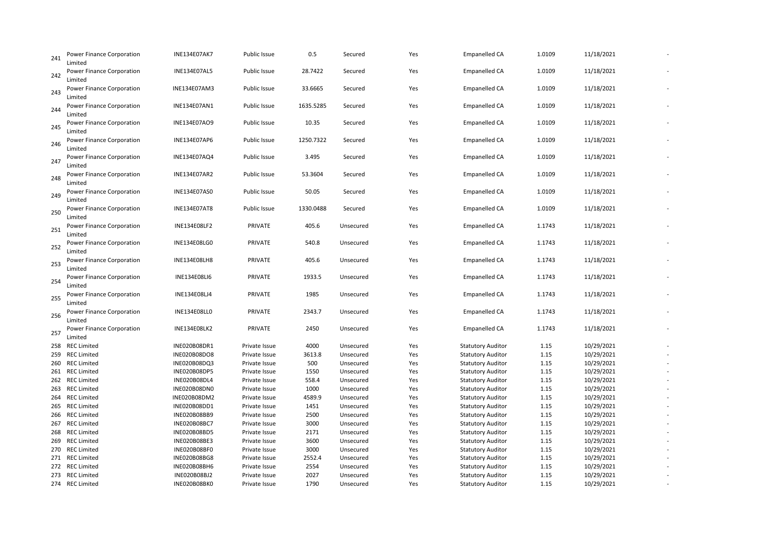| 241 | <b>Power Finance Corporation</b><br>Limited | INE134E07AK7        | Public Issue  | 0.5       | Secured   | Yes | <b>Empanelled CA</b>     | 1.0109 | 11/18/2021 |  |
|-----|---------------------------------------------|---------------------|---------------|-----------|-----------|-----|--------------------------|--------|------------|--|
| 242 | Power Finance Corporation<br>Limited        | <b>INE134E07AL5</b> | Public Issue  | 28.7422   | Secured   | Yes | <b>Empanelled CA</b>     | 1.0109 | 11/18/2021 |  |
| 243 | Power Finance Corporation<br>Limited        | INE134E07AM3        | Public Issue  | 33.6665   | Secured   | Yes | <b>Empanelled CA</b>     | 1.0109 | 11/18/2021 |  |
| 244 | Power Finance Corporation<br>Limited        | INE134E07AN1        | Public Issue  | 1635.5285 | Secured   | Yes | <b>Empanelled CA</b>     | 1.0109 | 11/18/2021 |  |
| 245 | Power Finance Corporation<br>Limited        | INE134E07AO9        | Public Issue  | 10.35     | Secured   | Yes | <b>Empanelled CA</b>     | 1.0109 | 11/18/2021 |  |
| 246 | Power Finance Corporation<br>Limited        | INE134E07AP6        | Public Issue  | 1250.7322 | Secured   | Yes | <b>Empanelled CA</b>     | 1.0109 | 11/18/2021 |  |
| 247 | Power Finance Corporation<br>Limited        | INE134E07AQ4        | Public Issue  | 3.495     | Secured   | Yes | <b>Empanelled CA</b>     | 1.0109 | 11/18/2021 |  |
| 248 | Power Finance Corporation<br>Limited        | INE134E07AR2        | Public Issue  | 53.3604   | Secured   | Yes | <b>Empanelled CA</b>     | 1.0109 | 11/18/2021 |  |
| 249 | Power Finance Corporation<br>Limited        | INE134E07AS0        | Public Issue  | 50.05     | Secured   | Yes | <b>Empanelled CA</b>     | 1.0109 | 11/18/2021 |  |
| 250 | Power Finance Corporation<br>Limited        | <b>INE134E07AT8</b> | Public Issue  | 1330.0488 | Secured   | Yes | <b>Empanelled CA</b>     | 1.0109 | 11/18/2021 |  |
| 251 | Power Finance Corporation<br>Limited        | INE134E08LF2        | PRIVATE       | 405.6     | Unsecured | Yes | <b>Empanelled CA</b>     | 1.1743 | 11/18/2021 |  |
| 252 | Power Finance Corporation<br>Limited        | INE134E08LG0        | PRIVATE       | 540.8     | Unsecured | Yes | <b>Empanelled CA</b>     | 1.1743 | 11/18/2021 |  |
| 253 | Power Finance Corporation<br>Limited        | INE134E08LH8        | PRIVATE       | 405.6     | Unsecured | Yes | <b>Empanelled CA</b>     | 1.1743 | 11/18/2021 |  |
| 254 | Power Finance Corporation<br>Limited        | <b>INE134E08LI6</b> | PRIVATE       | 1933.5    | Unsecured | Yes | <b>Empanelled CA</b>     | 1.1743 | 11/18/2021 |  |
| 255 | Power Finance Corporation<br>Limited        | INE134E08LJ4        | PRIVATE       | 1985      | Unsecured | Yes | <b>Empanelled CA</b>     | 1.1743 | 11/18/2021 |  |
| 256 | Power Finance Corporation<br>Limited        | INE134E08LL0        | PRIVATE       | 2343.7    | Unsecured | Yes | <b>Empanelled CA</b>     | 1.1743 | 11/18/2021 |  |
| 257 | Power Finance Corporation<br>Limited        | INE134E08LK2        | PRIVATE       | 2450      | Unsecured | Yes | <b>Empanelled CA</b>     | 1.1743 | 11/18/2021 |  |
|     | 258 REC Limited                             | INE020B08DR1        | Private Issue | 4000      | Unsecured | Yes | <b>Statutory Auditor</b> | 1.15   | 10/29/2021 |  |
|     | 259 REC Limited                             | INE020B08DO8        | Private Issue | 3613.8    | Unsecured | Yes | <b>Statutory Auditor</b> | 1.15   | 10/29/2021 |  |
|     | 260 REC Limited                             | INE020B08DQ3        | Private Issue | 500       | Unsecured | Yes | <b>Statutory Auditor</b> | 1.15   | 10/29/2021 |  |
|     | 261 REC Limited                             | INE020B08DP5        | Private Issue | 1550      | Unsecured | Yes | <b>Statutory Auditor</b> | 1.15   | 10/29/2021 |  |
|     | 262 REC Limited                             | INE020B08DL4        | Private Issue | 558.4     | Unsecured | Yes | <b>Statutory Auditor</b> | 1.15   | 10/29/2021 |  |
|     | 263 REC Limited                             | INE020B08DN0        | Private Issue | 1000      | Unsecured | Yes | <b>Statutory Auditor</b> | 1.15   | 10/29/2021 |  |
|     | 264 REC Limited                             | INE020B08DM2        | Private Issue | 4589.9    | Unsecured | Yes | <b>Statutory Auditor</b> | 1.15   | 10/29/2021 |  |
| 265 | REC Limited                                 | INE020B08DD1        | Private Issue | 1451      | Unsecured | Yes | <b>Statutory Auditor</b> | 1.15   | 10/29/2021 |  |
|     | 266 REC Limited                             | INE020B08BB9        | Private Issue | 2500      | Unsecured | Yes | <b>Statutory Auditor</b> | 1.15   | 10/29/2021 |  |
| 267 | <b>REC Limited</b>                          | INE020B08BC7        | Private Issue | 3000      | Unsecured | Yes | <b>Statutory Auditor</b> | 1.15   | 10/29/2021 |  |
|     | 268 REC Limited                             | INE020B08BD5        | Private Issue | 2171      | Unsecured | Yes | <b>Statutory Auditor</b> | 1.15   | 10/29/2021 |  |
| 269 | <b>REC Limited</b>                          | INE020B08BE3        | Private Issue | 3600      | Unsecured | Yes | <b>Statutory Auditor</b> | 1.15   | 10/29/2021 |  |
|     | 270 REC Limited                             | INE020B08BF0        | Private Issue | 3000      | Unsecured | Yes | <b>Statutory Auditor</b> | 1.15   | 10/29/2021 |  |
|     | 271 REC Limited                             | <b>INE020B08BG8</b> | Private Issue | 2552.4    | Unsecured | Yes | <b>Statutory Auditor</b> | 1.15   | 10/29/2021 |  |
|     | 272 REC Limited                             | INE020B08BH6        | Private Issue | 2554      | Unsecured | Yes | <b>Statutory Auditor</b> | 1.15   | 10/29/2021 |  |
|     | 273 REC Limited                             | INE020B08BJ2        | Private Issue | 2027      | Unsecured | Yes | <b>Statutory Auditor</b> | 1.15   | 10/29/2021 |  |
|     | 274 REC Limited                             | INE020B08BK0        | Private Issue | 1790      | Unsecured | Yes | <b>Statutory Auditor</b> | 1.15   | 10/29/2021 |  |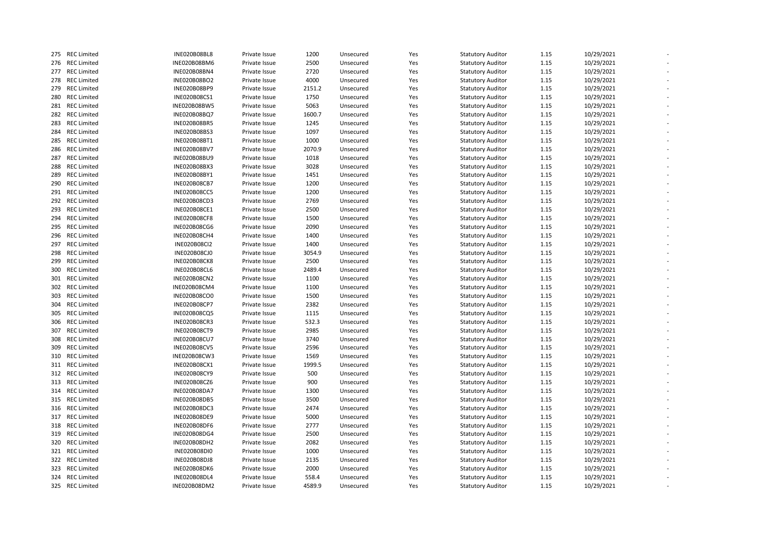|     | 275 REC Limited    | INE020B08BL8        | Private Issue | 1200   | Unsecured | Yes | <b>Statutory Auditor</b> | 1.15 | 10/29/2021 |  |
|-----|--------------------|---------------------|---------------|--------|-----------|-----|--------------------------|------|------------|--|
|     | 276 REC Limited    | INE020B08BM6        | Private Issue | 2500   | Unsecured | Yes | <b>Statutory Auditor</b> | 1.15 | 10/29/2021 |  |
|     | 277 REC Limited    | INE020B08BN4        | Private Issue | 2720   | Unsecured | Yes | <b>Statutory Auditor</b> | 1.15 | 10/29/2021 |  |
|     | 278 REC Limited    | INE020B08BO2        | Private Issue | 4000   | Unsecured | Yes | <b>Statutory Auditor</b> | 1.15 | 10/29/2021 |  |
|     | 279 REC Limited    | INE020B08BP9        | Private Issue | 2151.2 | Unsecured | Yes | <b>Statutory Auditor</b> | 1.15 | 10/29/2021 |  |
| 280 | <b>REC Limited</b> | INE020B08CS1        | Private Issue | 1750   | Unsecured | Yes | <b>Statutory Auditor</b> | 1.15 | 10/29/2021 |  |
|     | 281 REC Limited    | INE020B08BW5        | Private Issue | 5063   | Unsecured | Yes | <b>Statutory Auditor</b> | 1.15 | 10/29/2021 |  |
|     | 282 REC Limited    | INE020B08BQ7        | Private Issue | 1600.7 | Unsecured | Yes | <b>Statutory Auditor</b> | 1.15 | 10/29/2021 |  |
|     | 283 REC Limited    | INE020B08BR5        | Private Issue | 1245   | Unsecured | Yes | <b>Statutory Auditor</b> | 1.15 | 10/29/2021 |  |
|     | 284 REC Limited    | INE020B08BS3        | Private Issue | 1097   | Unsecured | Yes | <b>Statutory Auditor</b> | 1.15 | 10/29/2021 |  |
|     | 285 REC Limited    | INE020B08BT1        | Private Issue | 1000   | Unsecured | Yes | <b>Statutory Auditor</b> | 1.15 | 10/29/2021 |  |
|     | 286 REC Limited    | INE020B08BV7        | Private Issue | 2070.9 | Unsecured | Yes | <b>Statutory Auditor</b> | 1.15 | 10/29/2021 |  |
|     | 287 REC Limited    | INE020B08BU9        | Private Issue | 1018   | Unsecured | Yes | <b>Statutory Auditor</b> | 1.15 | 10/29/2021 |  |
|     | 288 REC Limited    | INE020B08BX3        | Private Issue | 3028   | Unsecured | Yes | <b>Statutory Auditor</b> | 1.15 | 10/29/2021 |  |
|     | 289 REC Limited    | INE020B08BY1        | Private Issue | 1451   | Unsecured | Yes | <b>Statutory Auditor</b> | 1.15 | 10/29/2021 |  |
|     | 290 REC Limited    | <b>INE020B08CB7</b> | Private Issue | 1200   | Unsecured | Yes | <b>Statutory Auditor</b> | 1.15 | 10/29/2021 |  |
|     | 291 REC Limited    | INE020B08CC5        | Private Issue | 1200   | Unsecured | Yes | <b>Statutory Auditor</b> | 1.15 | 10/29/2021 |  |
|     | 292 REC Limited    | INE020B08CD3        | Private Issue | 2769   | Unsecured | Yes | <b>Statutory Auditor</b> | 1.15 | 10/29/2021 |  |
|     |                    |                     |               |        |           |     |                          |      |            |  |
|     | 293 REC Limited    | INE020B08CE1        | Private Issue | 2500   | Unsecured | Yes | <b>Statutory Auditor</b> | 1.15 | 10/29/2021 |  |
|     | 294 REC Limited    | INE020B08CF8        | Private Issue | 1500   | Unsecured | Yes | <b>Statutory Auditor</b> | 1.15 | 10/29/2021 |  |
|     | 295 REC Limited    | <b>INE020B08CG6</b> | Private Issue | 2090   | Unsecured | Yes | <b>Statutory Auditor</b> | 1.15 | 10/29/2021 |  |
|     | 296 REC Limited    | <b>INE020B08CH4</b> | Private Issue | 1400   | Unsecured | Yes | <b>Statutory Auditor</b> | 1.15 | 10/29/2021 |  |
| 297 | <b>REC Limited</b> | <b>INE020B08CI2</b> | Private Issue | 1400   | Unsecured | Yes | <b>Statutory Auditor</b> | 1.15 | 10/29/2021 |  |
|     | 298 REC Limited    | <b>INE020B08CJ0</b> | Private Issue | 3054.9 | Unsecured | Yes | <b>Statutory Auditor</b> | 1.15 | 10/29/2021 |  |
| 299 | <b>REC Limited</b> | INE020B08CK8        | Private Issue | 2500   | Unsecured | Yes | <b>Statutory Auditor</b> | 1.15 | 10/29/2021 |  |
|     | 300 REC Limited    | INE020B08CL6        | Private Issue | 2489.4 | Unsecured | Yes | <b>Statutory Auditor</b> | 1.15 | 10/29/2021 |  |
|     | 301 REC Limited    | INE020B08CN2        | Private Issue | 1100   | Unsecured | Yes | <b>Statutory Auditor</b> | 1.15 | 10/29/2021 |  |
|     | 302 REC Limited    | INE020B08CM4        | Private Issue | 1100   | Unsecured | Yes | <b>Statutory Auditor</b> | 1.15 | 10/29/2021 |  |
|     | 303 REC Limited    | <b>INE020B08CO0</b> | Private Issue | 1500   | Unsecured | Yes | <b>Statutory Auditor</b> | 1.15 | 10/29/2021 |  |
|     | 304 REC Limited    | INE020B08CP7        | Private Issue | 2382   | Unsecured | Yes | <b>Statutory Auditor</b> | 1.15 | 10/29/2021 |  |
|     | 305 REC Limited    | INE020B08CQ5        | Private Issue | 1115   | Unsecured | Yes | <b>Statutory Auditor</b> | 1.15 | 10/29/2021 |  |
|     | 306 REC Limited    | INE020B08CR3        | Private Issue | 532.3  | Unsecured | Yes | <b>Statutory Auditor</b> | 1.15 | 10/29/2021 |  |
|     | 307 REC Limited    | <b>INE020B08CT9</b> | Private Issue | 2985   | Unsecured | Yes | <b>Statutory Auditor</b> | 1.15 | 10/29/2021 |  |
|     | 308 REC Limited    | <b>INE020B08CU7</b> | Private Issue | 3740   | Unsecured | Yes | <b>Statutory Auditor</b> | 1.15 | 10/29/2021 |  |
|     | 309 REC Limited    | <b>INE020B08CV5</b> | Private Issue | 2596   | Unsecured | Yes | <b>Statutory Auditor</b> | 1.15 | 10/29/2021 |  |
|     | 310 REC Limited    | INE020B08CW3        | Private Issue | 1569   | Unsecured | Yes | <b>Statutory Auditor</b> | 1.15 | 10/29/2021 |  |
|     | 311 REC Limited    | INE020B08CX1        | Private Issue | 1999.5 | Unsecured | Yes | <b>Statutory Auditor</b> | 1.15 | 10/29/2021 |  |
|     | 312 REC Limited    | <b>INE020B08CY9</b> | Private Issue | 500    | Unsecured | Yes | <b>Statutory Auditor</b> | 1.15 | 10/29/2021 |  |
|     | 313 REC Limited    | <b>INE020B08CZ6</b> | Private Issue | 900    | Unsecured | Yes | <b>Statutory Auditor</b> | 1.15 | 10/29/2021 |  |
|     | 314 REC Limited    | INE020B08DA7        | Private Issue | 1300   | Unsecured | Yes | <b>Statutory Auditor</b> | 1.15 | 10/29/2021 |  |
|     | 315 REC Limited    | INE020B08DB5        | Private Issue | 3500   | Unsecured | Yes | <b>Statutory Auditor</b> | 1.15 | 10/29/2021 |  |
|     | 316 REC Limited    | INE020B08DC3        | Private Issue | 2474   | Unsecured | Yes | <b>Statutory Auditor</b> | 1.15 | 10/29/2021 |  |
|     | 317 REC Limited    | INE020B08DE9        | Private Issue | 5000   | Unsecured | Yes | <b>Statutory Auditor</b> | 1.15 | 10/29/2021 |  |
|     | 318 REC Limited    | INE020B08DF6        | Private Issue | 2777   | Unsecured | Yes | <b>Statutory Auditor</b> | 1.15 | 10/29/2021 |  |
|     | 319 REC Limited    | INE020B08DG4        | Private Issue | 2500   | Unsecured | Yes | <b>Statutory Auditor</b> | 1.15 | 10/29/2021 |  |
|     | 320 REC Limited    | INE020B08DH2        | Private Issue | 2082   | Unsecured | Yes | <b>Statutory Auditor</b> | 1.15 | 10/29/2021 |  |
|     | 321 REC Limited    | INE020B08DI0        | Private Issue | 1000   | Unsecured | Yes | <b>Statutory Auditor</b> | 1.15 | 10/29/2021 |  |
|     | 322 REC Limited    | INE020B08DJ8        | Private Issue | 2135   | Unsecured | Yes | <b>Statutory Auditor</b> | 1.15 | 10/29/2021 |  |
|     | 323 REC Limited    | INE020B08DK6        | Private Issue | 2000   | Unsecured | Yes | <b>Statutory Auditor</b> | 1.15 | 10/29/2021 |  |
|     | 324 REC Limited    | INE020B08DL4        | Private Issue | 558.4  | Unsecured | Yes | <b>Statutory Auditor</b> | 1.15 | 10/29/2021 |  |
|     | 325 REC Limited    | INE020B08DM2        | Private Issue | 4589.9 | Unsecured | Yes | <b>Statutory Auditor</b> | 1.15 | 10/29/2021 |  |
|     |                    |                     |               |        |           |     |                          |      |            |  |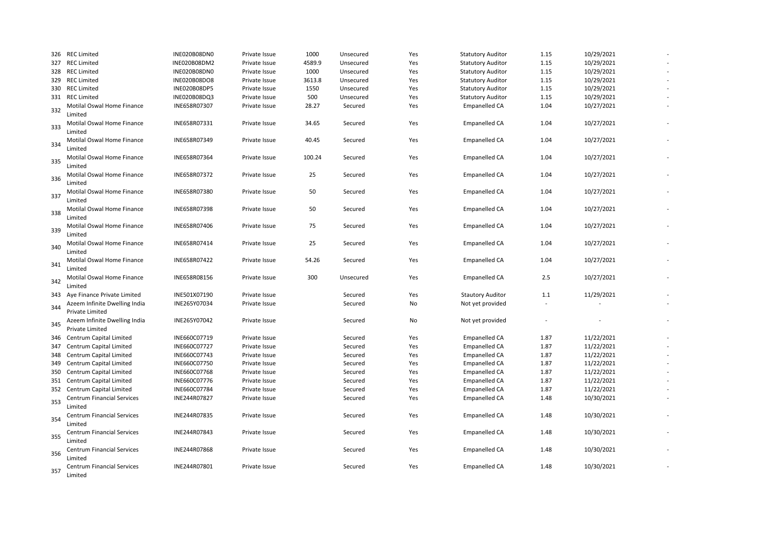|     | 326 REC Limited                                         | INE020B08DN0 | Private Issue | 1000   | Unsecured | Yes | <b>Statutory Auditor</b> | 1.15    | 10/29/2021 |  |
|-----|---------------------------------------------------------|--------------|---------------|--------|-----------|-----|--------------------------|---------|------------|--|
|     | 327 REC Limited                                         | INE020B08DM2 | Private Issue | 4589.9 | Unsecured | Yes | <b>Statutory Auditor</b> | 1.15    | 10/29/2021 |  |
| 328 | <b>REC Limited</b>                                      | INE020B08DN0 | Private Issue | 1000   | Unsecured | Yes | <b>Statutory Auditor</b> | 1.15    | 10/29/2021 |  |
|     | 329 REC Limited                                         | INE020B08DO8 | Private Issue | 3613.8 | Unsecured | Yes | <b>Statutory Auditor</b> | 1.15    | 10/29/2021 |  |
| 330 | <b>REC Limited</b>                                      | INE020B08DP5 | Private Issue | 1550   | Unsecured | Yes | <b>Statutory Auditor</b> | 1.15    | 10/29/2021 |  |
|     | 331 REC Limited                                         | INE020B08DQ3 | Private Issue | 500    | Unsecured | Yes | <b>Statutory Auditor</b> | 1.15    | 10/29/2021 |  |
| 332 | Motilal Oswal Home Finance<br>Limited                   | INE658R07307 | Private Issue | 28.27  | Secured   | Yes | Empanelled CA            | 1.04    | 10/27/2021 |  |
| 333 | Motilal Oswal Home Finance<br>Limited                   | INE658R07331 | Private Issue | 34.65  | Secured   | Yes | <b>Empanelled CA</b>     | 1.04    | 10/27/2021 |  |
| 334 | Motilal Oswal Home Finance<br>Limited                   | INE658R07349 | Private Issue | 40.45  | Secured   | Yes | <b>Empanelled CA</b>     | 1.04    | 10/27/2021 |  |
| 335 | Motilal Oswal Home Finance<br>Limited                   | INE658R07364 | Private Issue | 100.24 | Secured   | Yes | Empanelled CA            | 1.04    | 10/27/2021 |  |
| 336 | Motilal Oswal Home Finance<br>Limited                   | INE658R07372 | Private Issue | 25     | Secured   | Yes | <b>Empanelled CA</b>     | 1.04    | 10/27/2021 |  |
| 337 | Motilal Oswal Home Finance<br>Limited                   | INE658R07380 | Private Issue | 50     | Secured   | Yes | <b>Empanelled CA</b>     | 1.04    | 10/27/2021 |  |
| 338 | Motilal Oswal Home Finance<br>Limited                   | INE658R07398 | Private Issue | 50     | Secured   | Yes | Empanelled CA            | 1.04    | 10/27/2021 |  |
| 339 | Motilal Oswal Home Finance<br>Limited                   | INE658R07406 | Private Issue | 75     | Secured   | Yes | <b>Empanelled CA</b>     | 1.04    | 10/27/2021 |  |
| 340 | Motilal Oswal Home Finance<br>Limited                   | INE658R07414 | Private Issue | 25     | Secured   | Yes | <b>Empanelled CA</b>     | 1.04    | 10/27/2021 |  |
| 341 | Motilal Oswal Home Finance<br>Limited                   | INE658R07422 | Private Issue | 54.26  | Secured   | Yes | Empanelled CA            | 1.04    | 10/27/2021 |  |
| 342 | Motilal Oswal Home Finance<br>Limited                   | INE658R08156 | Private Issue | 300    | Unsecured | Yes | <b>Empanelled CA</b>     | 2.5     | 10/27/2021 |  |
| 343 | Aye Finance Private Limited                             | INE501X07190 | Private Issue |        | Secured   | Yes | <b>Stautory Auditor</b>  | $1.1\,$ | 11/29/2021 |  |
| 344 | Azeem Infinite Dwelling India<br><b>Private Limited</b> | INE265Y07034 | Private Issue |        | Secured   | No  | Not yet provided         | ÷,      |            |  |
| 345 | Azeem Infinite Dwelling India<br><b>Private Limited</b> | INE265Y07042 | Private Issue |        | Secured   | No  | Not yet provided         |         |            |  |
| 346 | Centrum Capital Limited                                 | INE660C07719 | Private Issue |        | Secured   | Yes | <b>Empanelled CA</b>     | 1.87    | 11/22/2021 |  |
| 347 | Centrum Capital Limited                                 | INE660C07727 | Private Issue |        | Secured   | Yes | <b>Empanelled CA</b>     | 1.87    | 11/22/2021 |  |
| 348 | Centrum Capital Limited                                 | INE660C07743 | Private Issue |        | Secured   | Yes | <b>Empanelled CA</b>     | 1.87    | 11/22/2021 |  |
| 349 | Centrum Capital Limited                                 | INE660C07750 | Private Issue |        | Secured   | Yes | Empanelled CA            | 1.87    | 11/22/2021 |  |
| 350 | Centrum Capital Limited                                 | INE660C07768 | Private Issue |        | Secured   | Yes | Empanelled CA            | 1.87    | 11/22/2021 |  |
|     | 351 Centrum Capital Limited                             | INE660C07776 | Private Issue |        | Secured   | Yes | Empanelled CA            | 1.87    | 11/22/2021 |  |
|     | 352 Centrum Capital Limited                             | INE660C07784 | Private Issue |        | Secured   | Yes | <b>Empanelled CA</b>     | 1.87    | 11/22/2021 |  |
| 353 | <b>Centrum Financial Services</b><br>Limited            | INE244R07827 | Private Issue |        | Secured   | Yes | <b>Empanelled CA</b>     | 1.48    | 10/30/2021 |  |
| 354 | <b>Centrum Financial Services</b><br>Limited            | INE244R07835 | Private Issue |        | Secured   | Yes | <b>Empanelled CA</b>     | 1.48    | 10/30/2021 |  |
| 355 | Centrum Financial Services<br>Limited                   | INE244R07843 | Private Issue |        | Secured   | Yes | <b>Empanelled CA</b>     | 1.48    | 10/30/2021 |  |
| 356 | Centrum Financial Services<br>Limited                   | INE244R07868 | Private Issue |        | Secured   | Yes | <b>Empanelled CA</b>     | 1.48    | 10/30/2021 |  |
| 357 | <b>Centrum Financial Services</b><br>Limited            | INE244R07801 | Private Issue |        | Secured   | Yes | <b>Empanelled CA</b>     | 1.48    | 10/30/2021 |  |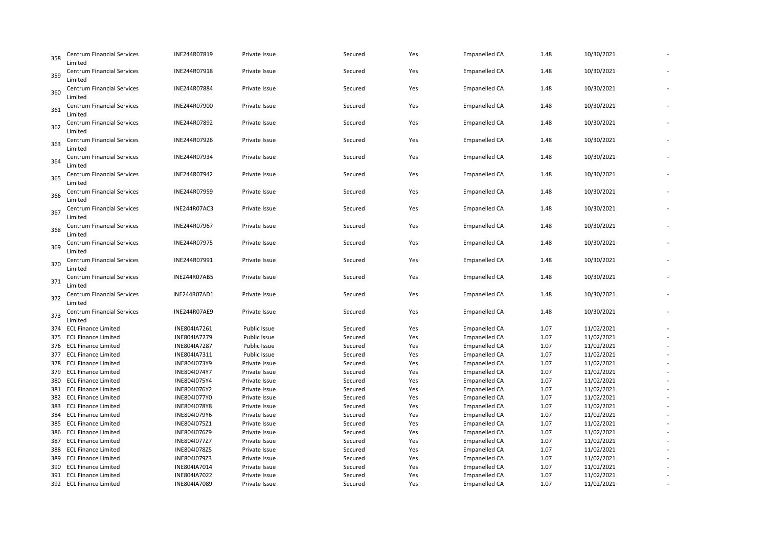| 358 | <b>Centrum Financial Services</b><br>Limited | INE244R07819        | Private Issue       | Secured | Yes | <b>Empanelled CA</b> | 1.48 | 10/30/2021 |  |
|-----|----------------------------------------------|---------------------|---------------------|---------|-----|----------------------|------|------------|--|
| 359 | Centrum Financial Services<br>Limited        | INE244R07918        | Private Issue       | Secured | Yes | <b>Empanelled CA</b> | 1.48 | 10/30/2021 |  |
| 360 | <b>Centrum Financial Services</b><br>Limited | INE244R07884        | Private Issue       | Secured | Yes | <b>Empanelled CA</b> | 1.48 | 10/30/2021 |  |
| 361 | Centrum Financial Services<br>Limited        | INE244R07900        | Private Issue       | Secured | Yes | <b>Empanelled CA</b> | 1.48 | 10/30/2021 |  |
| 362 | <b>Centrum Financial Services</b><br>Limited | INE244R07892        | Private Issue       | Secured | Yes | <b>Empanelled CA</b> | 1.48 | 10/30/2021 |  |
| 363 | Centrum Financial Services<br>Limited        | INE244R07926        | Private Issue       | Secured | Yes | <b>Empanelled CA</b> | 1.48 | 10/30/2021 |  |
| 364 | <b>Centrum Financial Services</b><br>Limited | INE244R07934        | Private Issue       | Secured | Yes | <b>Empanelled CA</b> | 1.48 | 10/30/2021 |  |
| 365 | <b>Centrum Financial Services</b><br>Limited | INE244R07942        | Private Issue       | Secured | Yes | <b>Empanelled CA</b> | 1.48 | 10/30/2021 |  |
| 366 | <b>Centrum Financial Services</b><br>Limited | INE244R07959        | Private Issue       | Secured | Yes | <b>Empanelled CA</b> | 1.48 | 10/30/2021 |  |
| 367 | Centrum Financial Services<br>Limited        | INE244R07AC3        | Private Issue       | Secured | Yes | <b>Empanelled CA</b> | 1.48 | 10/30/2021 |  |
| 368 | Centrum Financial Services<br>Limited        | INE244R07967        | Private Issue       | Secured | Yes | <b>Empanelled CA</b> | 1.48 | 10/30/2021 |  |
| 369 | Centrum Financial Services<br>Limited        | INE244R07975        | Private Issue       | Secured | Yes | <b>Empanelled CA</b> | 1.48 | 10/30/2021 |  |
| 370 | <b>Centrum Financial Services</b><br>Limited | INE244R07991        | Private Issue       | Secured | Yes | <b>Empanelled CA</b> | 1.48 | 10/30/2021 |  |
| 371 | Centrum Financial Services<br>Limited        | INE244R07AB5        | Private Issue       | Secured | Yes | <b>Empanelled CA</b> | 1.48 | 10/30/2021 |  |
| 372 | <b>Centrum Financial Services</b><br>Limited | INE244R07AD1        | Private Issue       | Secured | Yes | <b>Empanelled CA</b> | 1.48 | 10/30/2021 |  |
| 373 | <b>Centrum Financial Services</b><br>Limited | <b>INE244R07AE9</b> | Private Issue       | Secured | Yes | <b>Empanelled CA</b> | 1.48 | 10/30/2021 |  |
|     | 374 ECL Finance Limited                      | INE804IA7261        | <b>Public Issue</b> | Secured | Yes | <b>Empanelled CA</b> | 1.07 | 11/02/2021 |  |
|     | 375 ECL Finance Limited                      | INE804IA7279        | Public Issue        | Secured | Yes | <b>Empanelled CA</b> | 1.07 | 11/02/2021 |  |
|     | 376 ECL Finance Limited                      | INE804IA7287        | Public Issue        | Secured | Yes | <b>Empanelled CA</b> | 1.07 | 11/02/2021 |  |
|     | 377 ECL Finance Limited                      | INE804IA7311        | Public Issue        | Secured | Yes | <b>Empanelled CA</b> | 1.07 | 11/02/2021 |  |
|     | 378 ECL Finance Limited                      | INE804I073Y9        | Private Issue       | Secured | Yes | <b>Empanelled CA</b> | 1.07 | 11/02/2021 |  |
| 379 | <b>ECL Finance Limited</b>                   | INE804I074Y7        | Private Issue       | Secured | Yes | <b>Empanelled CA</b> | 1.07 | 11/02/2021 |  |
|     | 380 ECL Finance Limited                      | INE804I075Y4        | Private Issue       | Secured | Yes | <b>Empanelled CA</b> | 1.07 | 11/02/2021 |  |
|     | 381 ECL Finance Limited                      | INE804I076Y2        | Private Issue       | Secured | Yes | <b>Empanelled CA</b> | 1.07 | 11/02/2021 |  |
|     | 382 ECL Finance Limited                      | INE804I077Y0        | Private Issue       | Secured | Yes | <b>Empanelled CA</b> | 1.07 | 11/02/2021 |  |
| 383 | <b>ECL Finance Limited</b>                   | INE804I078Y8        | Private Issue       | Secured | Yes | <b>Empanelled CA</b> | 1.07 | 11/02/2021 |  |
|     | 384 ECL Finance Limited                      | INE804I079Y6        | Private Issue       | Secured | Yes | <b>Empanelled CA</b> | 1.07 | 11/02/2021 |  |
| 385 | <b>ECL Finance Limited</b>                   | INE804I075Z1        | Private Issue       | Secured | Yes | <b>Empanelled CA</b> | 1.07 | 11/02/2021 |  |
|     | 386 ECL Finance Limited                      | INE804I076Z9        | Private Issue       | Secured | Yes | <b>Empanelled CA</b> | 1.07 | 11/02/2021 |  |
|     | 387 ECL Finance Limited                      | INE804I077Z7        | Private Issue       | Secured | Yes | <b>Empanelled CA</b> | 1.07 | 11/02/2021 |  |
| 388 | <b>ECL Finance Limited</b>                   | INE804I078Z5        | Private Issue       | Secured | Yes | <b>Empanelled CA</b> | 1.07 | 11/02/2021 |  |
| 389 | <b>ECL Finance Limited</b>                   | INE804I079Z3        | Private Issue       | Secured | Yes | <b>Empanelled CA</b> | 1.07 | 11/02/2021 |  |
| 390 | <b>ECL Finance Limited</b>                   | INE804IA7014        | Private Issue       | Secured | Yes | <b>Empanelled CA</b> | 1.07 | 11/02/2021 |  |
|     | 391 ECL Finance Limited                      | INE804IA7022        | Private Issue       | Secured | Yes | <b>Empanelled CA</b> | 1.07 | 11/02/2021 |  |
|     | 392 ECL Finance Limited                      | INE804IA7089        | Private Issue       | Secured | Yes | <b>Empanelled CA</b> | 1.07 | 11/02/2021 |  |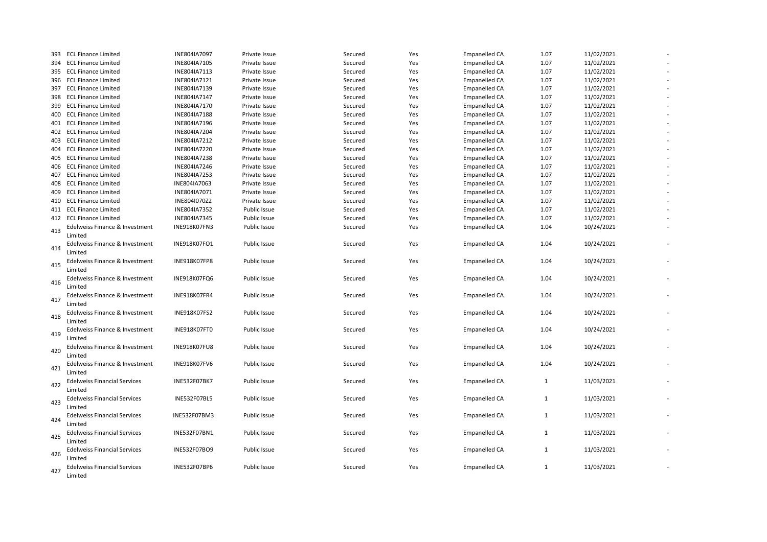|     | 393 ECL Finance Limited                   | INE804IA7097        | Private Issue       | Secured | Yes | <b>Empanelled CA</b> | 1.07         | 11/02/2021 |  |
|-----|-------------------------------------------|---------------------|---------------------|---------|-----|----------------------|--------------|------------|--|
| 394 | <b>ECL Finance Limited</b>                | INE804IA7105        | Private Issue       | Secured | Yes | <b>Empanelled CA</b> | 1.07         | 11/02/2021 |  |
| 395 | <b>ECL Finance Limited</b>                | INE804IA7113        | Private Issue       | Secured | Yes | <b>Empanelled CA</b> | 1.07         | 11/02/2021 |  |
|     | 396 ECL Finance Limited                   | INE804IA7121        | Private Issue       | Secured | Yes | <b>Empanelled CA</b> | 1.07         | 11/02/2021 |  |
|     | 397 ECL Finance Limited                   | INE804IA7139        | Private Issue       | Secured | Yes | <b>Empanelled CA</b> | 1.07         | 11/02/2021 |  |
|     | 398 ECL Finance Limited                   | INE804IA7147        | Private Issue       | Secured | Yes | Empanelled CA        | 1.07         | 11/02/2021 |  |
| 399 | <b>ECL Finance Limited</b>                | INE804IA7170        | Private Issue       | Secured | Yes | <b>Empanelled CA</b> | 1.07         | 11/02/2021 |  |
|     | 400 ECL Finance Limited                   | INE804IA7188        | Private Issue       | Secured | Yes | <b>Empanelled CA</b> | 1.07         | 11/02/2021 |  |
| 401 | <b>ECL Finance Limited</b>                | INE804IA7196        | Private Issue       | Secured | Yes | <b>Empanelled CA</b> | 1.07         | 11/02/2021 |  |
|     | 402 ECL Finance Limited                   | INE804IA7204        | Private Issue       | Secured | Yes | <b>Empanelled CA</b> | 1.07         | 11/02/2021 |  |
| 403 | <b>ECL Finance Limited</b>                | INE804IA7212        | Private Issue       | Secured | Yes | Empanelled CA        | 1.07         | 11/02/2021 |  |
| 404 | <b>ECL Finance Limited</b>                | INE804IA7220        | Private Issue       | Secured | Yes | Empanelled CA        | 1.07         | 11/02/2021 |  |
| 405 | <b>ECL Finance Limited</b>                | INE804IA7238        | Private Issue       | Secured | Yes | <b>Empanelled CA</b> | 1.07         | 11/02/2021 |  |
| 406 | <b>ECL Finance Limited</b>                | INE804IA7246        | Private Issue       | Secured | Yes | <b>Empanelled CA</b> | 1.07         | 11/02/2021 |  |
| 407 | <b>ECL Finance Limited</b>                | INE804IA7253        | Private Issue       | Secured | Yes | <b>Empanelled CA</b> | 1.07         | 11/02/2021 |  |
| 408 | <b>ECL Finance Limited</b>                | INE804IA7063        | Private Issue       | Secured | Yes | Empanelled CA        | 1.07         | 11/02/2021 |  |
| 409 | <b>ECL Finance Limited</b>                | INE804IA7071        | Private Issue       | Secured | Yes | Empanelled CA        | 1.07         | 11/02/2021 |  |
|     | 410 ECL Finance Limited                   | INE804I070Z2        | Private Issue       | Secured | Yes | Empanelled CA        | 1.07         | 11/02/2021 |  |
|     | 411 ECL Finance Limited                   | INE804IA7352        | Public Issue        | Secured | Yes | <b>Empanelled CA</b> | 1.07         | 11/02/2021 |  |
|     | 412 ECL Finance Limited                   | INE804IA7345        | Public Issue        | Secured | Yes | <b>Empanelled CA</b> | 1.07         | 11/02/2021 |  |
|     | Edelweiss Finance & Investment            | INE918K07FN3        | Public Issue        | Secured | Yes | <b>Empanelled CA</b> | 1.04         | 10/24/2021 |  |
| 413 | Limited                                   |                     |                     |         |     |                      |              |            |  |
|     | Edelweiss Finance & Investment            | <b>INE918K07FO1</b> | <b>Public Issue</b> | Secured | Yes | <b>Empanelled CA</b> | 1.04         | 10/24/2021 |  |
| 414 | Limited                                   |                     |                     |         |     |                      |              |            |  |
|     |                                           | INE918K07FP8        | Public Issue        | Secured | Yes | <b>Empanelled CA</b> | 1.04         | 10/24/2021 |  |
| 415 | Edelweiss Finance & Investment<br>Limited |                     |                     |         |     |                      |              |            |  |
|     |                                           |                     |                     |         |     |                      |              | 10/24/2021 |  |
| 416 | Edelweiss Finance & Investment<br>Limited | INE918K07FQ6        | <b>Public Issue</b> | Secured | Yes | Empanelled CA        | 1.04         |            |  |
|     |                                           |                     |                     |         |     |                      |              |            |  |
| 417 | Edelweiss Finance & Investment            | INE918K07FR4        | Public Issue        | Secured | Yes | <b>Empanelled CA</b> | 1.04         | 10/24/2021 |  |
|     | Limited                                   |                     |                     |         |     |                      |              |            |  |
| 418 | Edelweiss Finance & Investment            | INE918K07FS2        | Public Issue        | Secured | Yes | <b>Empanelled CA</b> | 1.04         | 10/24/2021 |  |
|     | Limited                                   |                     |                     |         |     |                      |              |            |  |
| 419 | Edelweiss Finance & Investment            | INE918K07FT0        | <b>Public Issue</b> | Secured | Yes | Empanelled CA        | 1.04         | 10/24/2021 |  |
|     | Limited                                   |                     |                     |         |     |                      |              |            |  |
| 420 | Edelweiss Finance & Investment            | INE918K07FU8        | Public Issue        | Secured | Yes | <b>Empanelled CA</b> | 1.04         | 10/24/2021 |  |
|     | Limited                                   |                     |                     |         |     |                      |              |            |  |
| 421 | Edelweiss Finance & Investment            | INE918K07FV6        | Public Issue        | Secured | Yes | <b>Empanelled CA</b> | 1.04         | 10/24/2021 |  |
|     | Limited                                   |                     |                     |         |     |                      |              |            |  |
| 422 | <b>Edelweiss Financial Services</b>       | <b>INE532F07BK7</b> | <b>Public Issue</b> | Secured | Yes | Empanelled CA        | 1            | 11/03/2021 |  |
|     | Limited                                   |                     |                     |         |     |                      |              |            |  |
| 423 | <b>Edelweiss Financial Services</b>       | INE532F07BL5        | Public Issue        | Secured | Yes | <b>Empanelled CA</b> | $\mathbf{1}$ | 11/03/2021 |  |
|     | Limited                                   |                     |                     |         |     |                      |              |            |  |
| 424 | <b>Edelweiss Financial Services</b>       | INE532F07BM3        | Public Issue        | Secured | Yes | <b>Empanelled CA</b> | $\mathbf{1}$ | 11/03/2021 |  |
|     | Limited                                   |                     |                     |         |     |                      |              |            |  |
| 425 | <b>Edelweiss Financial Services</b>       | INE532F07BN1        | <b>Public Issue</b> | Secured | Yes | Empanelled CA        | $\mathbf{1}$ | 11/03/2021 |  |
|     | Limited                                   |                     |                     |         |     |                      |              |            |  |
| 426 | <b>Edelweiss Financial Services</b>       | INE532F07BO9        | Public Issue        | Secured | Yes | <b>Empanelled CA</b> | $\mathbf{1}$ | 11/03/2021 |  |
|     | Limited                                   |                     |                     |         |     |                      |              |            |  |
| 427 | <b>Edelweiss Financial Services</b>       | INE532F07BP6        | Public Issue        | Secured | Yes | <b>Empanelled CA</b> | $\mathbf{1}$ | 11/03/2021 |  |
|     | Limited                                   |                     |                     |         |     |                      |              |            |  |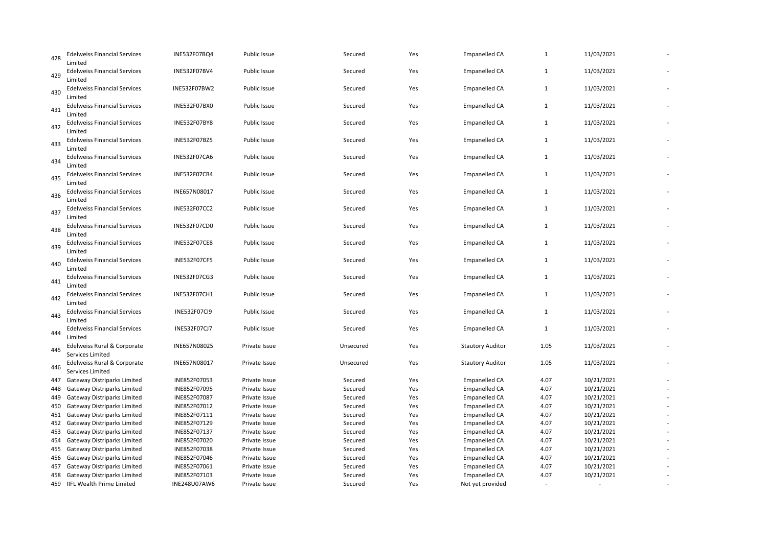| 428 | <b>Edelweiss Financial Services</b><br>Limited  | INE532F07BQ4        | Public Issue        | Secured   | Yes | <b>Empanelled CA</b>    | $\mathbf 1$  | 11/03/2021 |  |
|-----|-------------------------------------------------|---------------------|---------------------|-----------|-----|-------------------------|--------------|------------|--|
| 429 | <b>Edelweiss Financial Services</b><br>Limited  | INE532F07BV4        | Public Issue        | Secured   | Yes | <b>Empanelled CA</b>    | $\mathbf{1}$ | 11/03/2021 |  |
| 430 | <b>Edelweiss Financial Services</b><br>Limited  | INE532F07BW2        | Public Issue        | Secured   | Yes | <b>Empanelled CA</b>    | $\mathbf{1}$ | 11/03/2021 |  |
| 431 | <b>Edelweiss Financial Services</b><br>Limited  | <b>INE532F07BX0</b> | Public Issue        | Secured   | Yes | <b>Empanelled CA</b>    | $\mathbf{1}$ | 11/03/2021 |  |
| 432 | <b>Edelweiss Financial Services</b><br>Limited  | <b>INE532F07BY8</b> | Public Issue        | Secured   | Yes | <b>Empanelled CA</b>    | $\mathbf{1}$ | 11/03/2021 |  |
| 433 | <b>Edelweiss Financial Services</b><br>Limited  | INE532F07BZ5        | Public Issue        | Secured   | Yes | <b>Empanelled CA</b>    | $\mathbf{1}$ | 11/03/2021 |  |
| 434 | <b>Edelweiss Financial Services</b><br>Limited  | INE532F07CA6        | Public Issue        | Secured   | Yes | <b>Empanelled CA</b>    | $\mathbf{1}$ | 11/03/2021 |  |
| 435 | <b>Edelweiss Financial Services</b><br>Limited  | <b>INE532F07CB4</b> | Public Issue        | Secured   | Yes | <b>Empanelled CA</b>    | $\mathbf{1}$ | 11/03/2021 |  |
| 436 | <b>Edelweiss Financial Services</b><br>Limited  | INE657N08017        | Public Issue        | Secured   | Yes | <b>Empanelled CA</b>    | $\mathbf{1}$ | 11/03/2021 |  |
| 437 | <b>Edelweiss Financial Services</b><br>Limited  | <b>INE532F07CC2</b> | Public Issue        | Secured   | Yes | <b>Empanelled CA</b>    | $\mathbf{1}$ | 11/03/2021 |  |
| 438 | <b>Edelweiss Financial Services</b><br>Limited  | INE532F07CD0        | <b>Public Issue</b> | Secured   | Yes | <b>Empanelled CA</b>    | $\mathbf{1}$ | 11/03/2021 |  |
| 439 | <b>Edelweiss Financial Services</b><br>Limited  | <b>INE532F07CE8</b> | Public Issue        | Secured   | Yes | Empanelled CA           | $\mathbf{1}$ | 11/03/2021 |  |
| 440 | <b>Edelweiss Financial Services</b><br>Limited  | INE532F07CF5        | <b>Public Issue</b> | Secured   | Yes | <b>Empanelled CA</b>    | $\mathbf{1}$ | 11/03/2021 |  |
| 441 | <b>Edelweiss Financial Services</b><br>Limited  | INE532F07CG3        | Public Issue        | Secured   | Yes | <b>Empanelled CA</b>    | 1            | 11/03/2021 |  |
| 442 | <b>Edelweiss Financial Services</b><br>Limited  | INE532F07CH1        | Public Issue        | Secured   | Yes | <b>Empanelled CA</b>    | $\mathbf{1}$ | 11/03/2021 |  |
| 443 | <b>Edelweiss Financial Services</b><br>Limited  | INE532F07CI9        | Public Issue        | Secured   | Yes | <b>Empanelled CA</b>    | 1            | 11/03/2021 |  |
| 444 | <b>Edelweiss Financial Services</b><br>Limited  | INE532F07CJ7        | Public Issue        | Secured   | Yes | <b>Empanelled CA</b>    | 1            | 11/03/2021 |  |
| 445 | Edelweiss Rural & Corporate<br>Services Limited | INE657N08025        | Private Issue       | Unsecured | Yes | <b>Stautory Auditor</b> | 1.05         | 11/03/2021 |  |
| 446 | Edelweiss Rural & Corporate<br>Services Limited | INE657N08017        | Private Issue       | Unsecured | Yes | <b>Stautory Auditor</b> | 1.05         | 11/03/2021 |  |
| 447 | <b>Gateway Distriparks Limited</b>              | INE852F07053        | Private Issue       | Secured   | Yes | <b>Empanelled CA</b>    | 4.07         | 10/21/2021 |  |
| 448 | Gateway Distriparks Limited                     | INE852F07095        | Private Issue       | Secured   | Yes | <b>Empanelled CA</b>    | 4.07         | 10/21/2021 |  |
| 449 | <b>Gateway Distriparks Limited</b>              | INE852F07087        | Private Issue       | Secured   | Yes | <b>Empanelled CA</b>    | 4.07         | 10/21/2021 |  |
| 450 | <b>Gateway Distriparks Limited</b>              | INE852F07012        | Private Issue       | Secured   | Yes | <b>Empanelled CA</b>    | 4.07         | 10/21/2021 |  |
|     | 451 Gateway Distriparks Limited                 | INE852F07111        | Private Issue       | Secured   | Yes | <b>Empanelled CA</b>    | 4.07         | 10/21/2021 |  |
| 452 | <b>Gateway Distriparks Limited</b>              | INE852F07129        | Private Issue       | Secured   | Yes | <b>Empanelled CA</b>    | 4.07         | 10/21/2021 |  |
| 453 | <b>Gateway Distriparks Limited</b>              | INE852F07137        | Private Issue       | Secured   | Yes | <b>Empanelled CA</b>    | 4.07         | 10/21/2021 |  |
| 454 | <b>Gateway Distriparks Limited</b>              | INE852F07020        | Private Issue       | Secured   | Yes | <b>Empanelled CA</b>    | 4.07         | 10/21/2021 |  |
| 455 | <b>Gateway Distriparks Limited</b>              | INE852F07038        | Private Issue       | Secured   | Yes | Empanelled CA           | 4.07         | 10/21/2021 |  |
| 456 | <b>Gateway Distriparks Limited</b>              | INE852F07046        | Private Issue       | Secured   | Yes | <b>Empanelled CA</b>    | 4.07         | 10/21/2021 |  |
| 457 | <b>Gateway Distriparks Limited</b>              | INE852F07061        | Private Issue       | Secured   | Yes | <b>Empanelled CA</b>    | 4.07         | 10/21/2021 |  |
| 458 | <b>Gateway Distriparks Limited</b>              | INE852F07103        | Private Issue       | Secured   | Yes | <b>Empanelled CA</b>    | 4.07         | 10/21/2021 |  |
|     | 459 IIFL Wealth Prime Limited                   | INE248U07AW6        | Private Issue       | Secured   | Yes | Not yet provided        |              |            |  |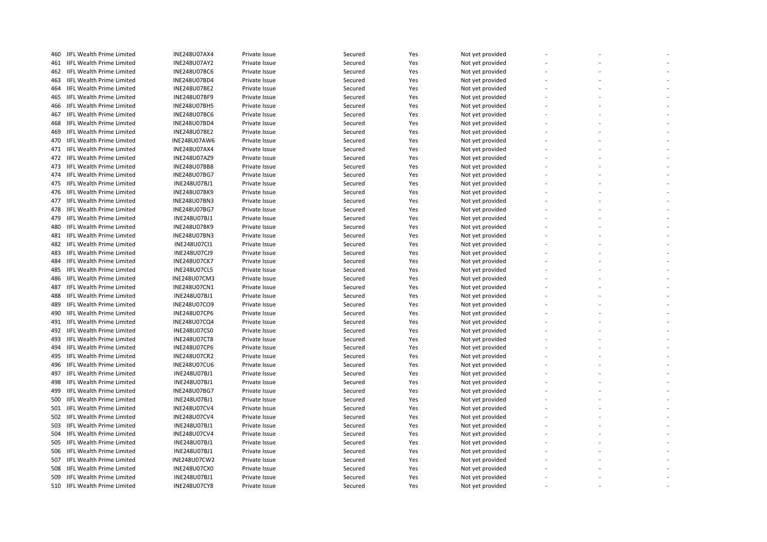| 460 | IIFL Wealth Prime Limited        | <b>INE248U07AX4</b> | Private Issue | Secured | Yes | Not yet provided |  |  |
|-----|----------------------------------|---------------------|---------------|---------|-----|------------------|--|--|
| 461 | <b>IIFL Wealth Prime Limited</b> | <b>INE248U07AY2</b> | Private Issue | Secured | Yes | Not yet provided |  |  |
| 462 | <b>IIFL Wealth Prime Limited</b> | <b>INE248U07BC6</b> | Private Issue | Secured | Yes | Not yet provided |  |  |
| 463 | <b>IIFL Wealth Prime Limited</b> | INE248U07BD4        | Private Issue | Secured | Yes | Not yet provided |  |  |
| 464 | IIFL Wealth Prime Limited        | INE248U07BE2        | Private Issue | Secured | Yes | Not yet provided |  |  |
| 465 | <b>IIFL Wealth Prime Limited</b> | INE248U07BF9        | Private Issue | Secured | Yes | Not yet provided |  |  |
| 466 | IIFL Wealth Prime Limited        | <b>INE248U07BH5</b> | Private Issue | Secured | Yes | Not yet provided |  |  |
| 467 | <b>IIFL Wealth Prime Limited</b> | <b>INE248U07BC6</b> | Private Issue | Secured | Yes | Not yet provided |  |  |
| 468 | <b>IIFL Wealth Prime Limited</b> | INE248U07BD4        | Private Issue | Secured | Yes | Not yet provided |  |  |
| 469 | <b>IIFL Wealth Prime Limited</b> | <b>INE248U07BE2</b> | Private Issue | Secured | Yes | Not yet provided |  |  |
| 470 | <b>IIFL Wealth Prime Limited</b> | INE248U07AW6        | Private Issue | Secured | Yes | Not yet provided |  |  |
| 471 | <b>IIFL Wealth Prime Limited</b> | <b>INE248U07AX4</b> | Private Issue | Secured | Yes | Not yet provided |  |  |
|     | 472 IIFL Wealth Prime Limited    | INE248U07AZ9        | Private Issue | Secured | Yes | Not yet provided |  |  |
| 473 | <b>IIFL Wealth Prime Limited</b> | INE248U07BB8        | Private Issue | Secured | Yes | Not yet provided |  |  |
|     | 474 IIFL Wealth Prime Limited    |                     |               |         |     |                  |  |  |
|     |                                  | INE248U07BG7        | Private Issue | Secured | Yes | Not yet provided |  |  |
| 475 | <b>IIFL Wealth Prime Limited</b> | INE248U07BJ1        | Private Issue | Secured | Yes | Not yet provided |  |  |
| 476 | <b>IIFL Wealth Prime Limited</b> | <b>INE248U07BK9</b> | Private Issue | Secured | Yes | Not yet provided |  |  |
| 477 | <b>IIFL Wealth Prime Limited</b> | INE248U07BN3        | Private Issue | Secured | Yes | Not yet provided |  |  |
| 478 | <b>IIFL Wealth Prime Limited</b> | <b>INE248U07BG7</b> | Private Issue | Secured | Yes | Not yet provided |  |  |
| 479 | <b>IIFL Wealth Prime Limited</b> | INE248U07BJ1        | Private Issue | Secured | Yes | Not yet provided |  |  |
| 480 | <b>IIFL Wealth Prime Limited</b> | <b>INE248U07BK9</b> | Private Issue | Secured | Yes | Not yet provided |  |  |
| 481 | <b>IIFL Wealth Prime Limited</b> | INE248U07BN3        | Private Issue | Secured | Yes | Not yet provided |  |  |
| 482 | <b>IIFL Wealth Prime Limited</b> | INE248U07CI1        | Private Issue | Secured | Yes | Not yet provided |  |  |
| 483 | <b>IIFL Wealth Prime Limited</b> | <b>INE248U07CJ9</b> | Private Issue | Secured | Yes | Not yet provided |  |  |
| 484 | <b>IIFL Wealth Prime Limited</b> | <b>INE248U07CK7</b> | Private Issue | Secured | Yes | Not yet provided |  |  |
| 485 | <b>IIFL Wealth Prime Limited</b> | <b>INE248U07CL5</b> | Private Issue | Secured | Yes | Not yet provided |  |  |
| 486 | <b>IIFL Wealth Prime Limited</b> | <b>INE248U07CM3</b> | Private Issue | Secured | Yes | Not yet provided |  |  |
| 487 | IIFL Wealth Prime Limited        | INE248U07CN1        | Private Issue | Secured | Yes | Not yet provided |  |  |
| 488 | <b>IIFL Wealth Prime Limited</b> | INE248U07BJ1        | Private Issue | Secured | Yes | Not yet provided |  |  |
| 489 | IIFL Wealth Prime Limited        | INE248U07CO9        | Private Issue | Secured | Yes | Not yet provided |  |  |
| 490 | <b>IIFL Wealth Prime Limited</b> | <b>INE248U07CP6</b> | Private Issue | Secured | Yes | Not yet provided |  |  |
| 491 | <b>IIFL Wealth Prime Limited</b> | INE248U07CQ4        | Private Issue | Secured | Yes | Not yet provided |  |  |
| 492 | <b>IIFL Wealth Prime Limited</b> | <b>INE248U07CS0</b> | Private Issue | Secured | Yes | Not yet provided |  |  |
| 493 | <b>IIFL Wealth Prime Limited</b> | <b>INE248U07CT8</b> | Private Issue | Secured | Yes | Not yet provided |  |  |
| 494 | <b>IIFL Wealth Prime Limited</b> | <b>INE248U07CP6</b> | Private Issue | Secured | Yes | Not yet provided |  |  |
| 495 | <b>IIFL Wealth Prime Limited</b> | INE248U07CR2        | Private Issue | Secured | Yes | Not yet provided |  |  |
| 496 | <b>IIFL Wealth Prime Limited</b> | <b>INE248U07CU6</b> | Private Issue | Secured | Yes | Not yet provided |  |  |
| 497 | IIFL Wealth Prime Limited        | INE248U07BJ1        | Private Issue | Secured | Yes | Not yet provided |  |  |
| 498 | IIFL Wealth Prime Limited        | INE248U07BJ1        | Private Issue | Secured | Yes | Not yet provided |  |  |
| 499 | <b>IIFL Wealth Prime Limited</b> | INE248U07BG7        | Private Issue | Secured | Yes | Not yet provided |  |  |
| 500 | <b>IIFL Wealth Prime Limited</b> | INE248U07BJ1        | Private Issue | Secured | Yes | Not yet provided |  |  |
| 501 | <b>IIFL Wealth Prime Limited</b> | <b>INE248U07CV4</b> | Private Issue | Secured | Yes | Not yet provided |  |  |
| 502 | <b>IIFL Wealth Prime Limited</b> | <b>INE248U07CV4</b> | Private Issue | Secured | Yes | Not yet provided |  |  |
| 503 | <b>IIFL Wealth Prime Limited</b> | INE248U07BJ1        | Private Issue | Secured | Yes | Not yet provided |  |  |
| 504 | <b>IIFL Wealth Prime Limited</b> | INE248U07CV4        | Private Issue | Secured | Yes | Not yet provided |  |  |
| 505 | <b>IIFL Wealth Prime Limited</b> | INE248U07BJ1        | Private Issue | Secured | Yes | Not yet provided |  |  |
| 506 | <b>IIFL Wealth Prime Limited</b> | INE248U07BJ1        | Private Issue | Secured | Yes | Not yet provided |  |  |
| 507 | <b>IIFL Wealth Prime Limited</b> | INE248U07CW2        | Private Issue | Secured | Yes | Not yet provided |  |  |
| 508 | <b>IIFL Wealth Prime Limited</b> | <b>INE248U07CX0</b> | Private Issue | Secured | Yes | Not yet provided |  |  |
| 509 | <b>IIFL Wealth Prime Limited</b> | INE248U07BJ1        | Private Issue | Secured | Yes | Not yet provided |  |  |
|     | 510 IIFL Wealth Prime Limited    | <b>INE248U07CY8</b> | Private Issue | Secured | Yes | Not yet provided |  |  |
|     |                                  |                     |               |         |     |                  |  |  |